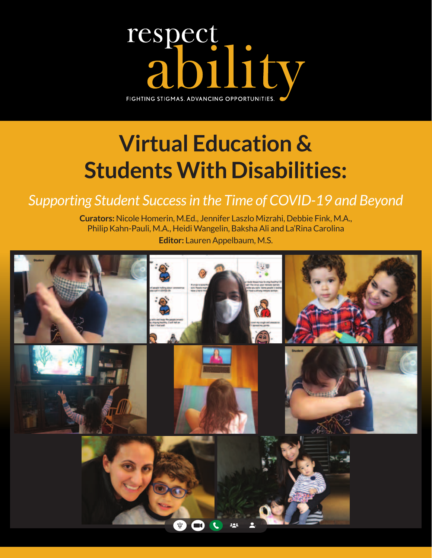

# **Virtual Education & Students With Disabilities:**

### *Supporting Student Success in the Time of COVID-19 and Beyond*

**Curators:** Nicole Homerin, M.Ed., Jennifer Laszlo Mizrahi, Debbie Fink, M.A., Philip Kahn-Pauli, M.A., Heidi Wangelin, Baksha Ali and La'Rina Carolina **Editor:** Lauren Appelbaum, M.S.

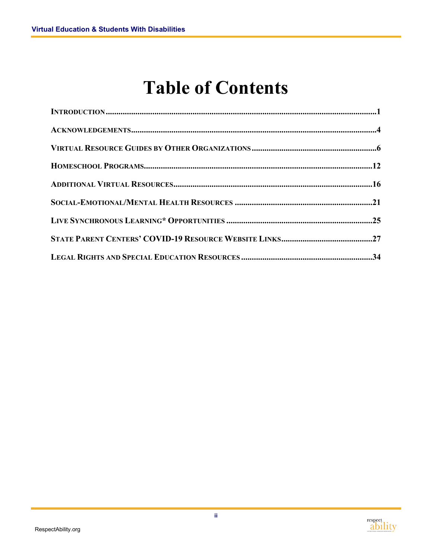### **Table of Contents**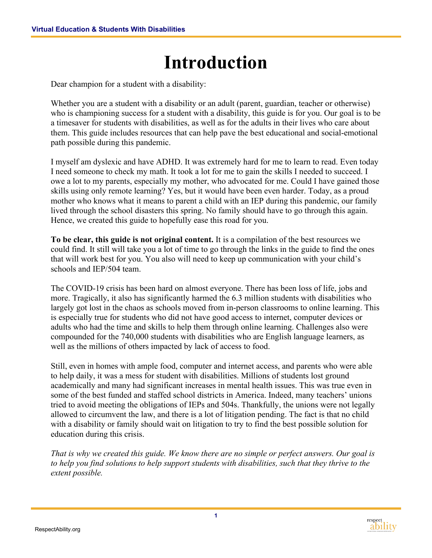### **Introduction**

<span id="page-2-0"></span>Dear champion for a student with a disability:

Whether you are a student with a disability or an adult (parent, guardian, teacher or otherwise) who is championing success for a student with a disability, this guide is for you. Our goal is to be a timesaver for students with disabilities, as well as for the adults in their lives who care about them. This guide includes resources that can help pave the best educational and social-emotional path possible during this pandemic.

I myself am dyslexic and have ADHD. It was extremely hard for me to learn to read. Even today I need someone to check my math. It took a lot for me to gain the skills I needed to succeed. I owe a lot to my parents, especially my mother, who advocated for me. Could I have gained those skills using only remote learning? Yes, but it would have been even harder. Today, as a proud mother who knows what it means to parent a child with an IEP during this pandemic, our family lived through the school disasters this spring. No family should have to go through this again. Hence, we created this guide to hopefully ease this road for you.

**To be clear, this guide is not original content.** It is a compilation of the best resources we could find. It still will take you a lot of time to go through the links in the guide to find the ones that will work best for you. You also will need to keep up communication with your child's schools and IEP/504 team.

The COVID-19 crisis has been hard on almost everyone. There has been loss of life, jobs and more. Tragically, it also has significantly harmed the 6.3 million students with disabilities who largely got lost in the chaos as schools moved from in-person classrooms to online learning. This is especially true for students who did not have good access to internet, computer devices or adults who had the time and skills to help them through online learning. Challenges also were compounded for the 740,000 students with disabilities who are English language learners, as well as the millions of others impacted by lack of access to food.

Still, even in homes with ample food, computer and internet access, and parents who were able to help daily, it was a mess for student with disabilities. Millions of students lost ground academically and many had significant increases in mental health issues. This was true even in some of the best funded and staffed school districts in America. Indeed, many teachers' unions tried to avoid meeting the obligations of IEPs and 504s. Thankfully, the unions were not legally allowed to circumvent the law, and there is a lot of litigation pending. The fact is that no child with a disability or family should wait on litigation to try to find the best possible solution for education during this crisis.

*That is why we created this guide. We know there are no simple or perfect answers. Our goal is to help you find solutions to help support students with disabilities, such that they thrive to the extent possible.*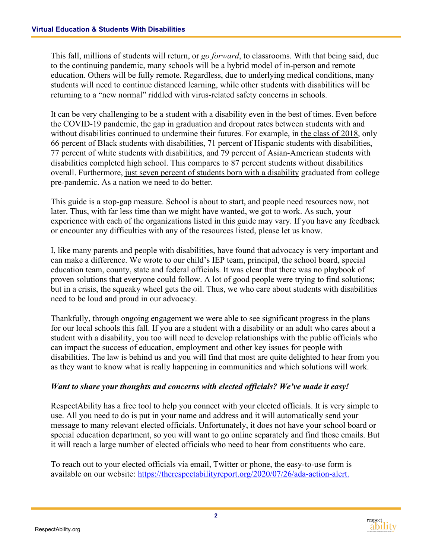This fall, millions of students will return, or *go forward*, to classrooms. With that being said, due to the continuing pandemic, many schools will be a hybrid model of in-person and remote education. Others will be fully remote. Regardless, due to underlying medical conditions, many students will need to continue distanced learning, while other students with disabilities will be returning to a "new normal" riddled with virus-related safety concerns in schools.

It can be very challenging to be a student with a disability even in the best of times. Even before the COVID-19 pandemic, the gap in graduation and dropout rates between students with and without disabilities continued to undermine their futures. For example, in [the class of 2018,](https://nces.ed.gov/programs/coe/indicator_cgg.asp) only 66 percent of Black students with disabilities, 71 percent of Hispanic students with disabilities, 77 percent of white students with disabilities, and 79 percent of Asian-American students with disabilities completed high school. This compares to 87 percent students without disabilities overall. Furthermore, [just seven percent of students born with a disability](https://www.air.org/sites/default/files/Lack%20of%20Equal%20Pay%20for%20People%20with%20Disabilities_Dec%2014.pdf) graduated from college pre-pandemic. As a nation we need to do better.

This guide is a stop-gap measure. School is about to start, and people need resources now, not later. Thus, with far less time than we might have wanted, we got to work. As such, your experience with each of the organizations listed in this guide may vary. If you have any feedback or encounter any difficulties with any of the resources listed, please let us know.

I, like many parents and people with disabilities, have found that advocacy is very important and can make a difference. We wrote to our child's IEP team, principal, the school board, special education team, county, state and federal officials. It was clear that there was no playbook of proven solutions that everyone could follow. A lot of good people were trying to find solutions; but in a crisis, the squeaky wheel gets the oil. Thus, we who care about students with disabilities need to be loud and proud in our advocacy.

Thankfully, through ongoing engagement we were able to see significant progress in the plans for our local schools this fall. If you are a student with a disability or an adult who cares about a student with a disability, you too will need to develop relationships with the public officials who can impact the success of education, employment and other key issues for people with disabilities. The law is behind us and you will find that most are quite delighted to hear from you as they want to know what is really happening in communities and which solutions will work.

#### *Want to share your thoughts and concerns with elected officials? We've made it easy!*

RespectAbility has a free tool to help you connect with your elected officials. It is very simple to use. All you need to do is put in your name and address and it will automatically send your message to many relevant elected officials. Unfortunately, it does not have your school board or special education department, so you will want to go online separately and find those emails. But it will reach a large number of elected officials who need to hear from constituents who care.

To reach out to your elected officials via email, Twitter or phone, the easy-to-use form is available on our website: [https://therespectabilityreport.org/2020/07/26/ada-action-alert.](https://therespectabilityreport.org/2020/07/26/ada-action-alert/)

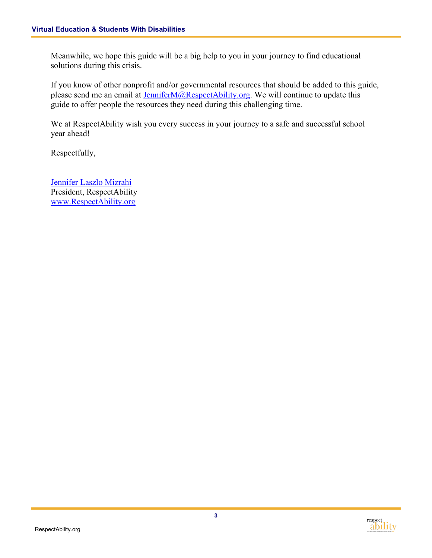Meanwhile, we hope this guide will be a big help to you in your journey to find educational solutions during this crisis.

If you know of other nonprofit and/or governmental resources that should be added to this guide, please send me an email at [JenniferM@RespectAbility.org.](mailto:JenniferM@RespectAbility.org) We will continue to update this guide to offer people the resources they need during this challenging time.

We at RespectAbility wish you every success in your journey to a safe and successful school year ahead!

Respectfully,

[Jennifer Laszlo Mizrahi](https://www.respectability.org/2017/12/jennifer-laszlo-mizrahi-president/) President, RespectAbility [www.RespectAbility.org](http://www.respectability.org/)

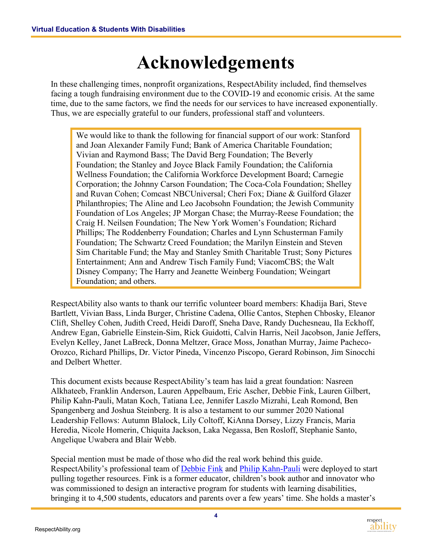### **Acknowledgements**

<span id="page-5-0"></span>In these challenging times, nonprofit organizations, RespectAbility included, find themselves facing a tough fundraising environment due to the COVID-19 and economic crisis. At the same time, due to the same factors, we find the needs for our services to have increased exponentially. Thus, we are especially grateful to our funders, professional staff and volunteers.

We would like to thank the following for financial support of our work: Stanford and Joan Alexander Family Fund; Bank of America Charitable Foundation; Vivian and Raymond Bass; The David Berg Foundation; The Beverly Foundation; the Stanley and Joyce Black Family Foundation; the California Wellness Foundation; the California Workforce Development Board; Carnegie Corporation; the Johnny Carson Foundation; The Coca-Cola Foundation; Shelley and Ruvan Cohen; Comcast NBCUniversal; Cheri Fox; Diane & Guilford Glazer Philanthropies; The Aline and Leo Jacobsohn Foundation; the Jewish Community Foundation of Los Angeles; JP Morgan Chase; the Murray-Reese Foundation; the Craig H. Neilsen Foundation; The New York Women's Foundation; Richard Phillips; The Roddenberry Foundation; Charles and Lynn Schusterman Family Foundation; The Schwartz Creed Foundation; the Marilyn Einstein and Steven Sim Charitable Fund; the May and Stanley Smith Charitable Trust; Sony Pictures Entertainment; Ann and Andrew Tisch Family Fund; ViacomCBS; the Walt Disney Company; The Harry and Jeanette Weinberg Foundation; Weingart Foundation; and others.

RespectAbility also wants to thank our terrific volunteer board members: Khadija Bari, Steve Bartlett, Vivian Bass, Linda Burger, Christine Cadena, Ollie Cantos, Stephen Chbosky, Eleanor Clift, Shelley Cohen, Judith Creed, Heidi Daroff, Sneha Dave, Randy Duchesneau, Ila Eckhoff, Andrew Egan, Gabrielle Einstein-Sim, Rick Guidotti, Calvin Harris, Neil Jacobson, Janie Jeffers, Evelyn Kelley, Janet LaBreck, Donna Meltzer, Grace Moss, Jonathan Murray, Jaime Pacheco-Orozco, Richard Phillips, Dr. Victor Pineda, Vincenzo Piscopo, Gerard Robinson, Jim Sinocchi and Delbert Whetter.

This document exists because RespectAbility's team has laid a great foundation: Nasreen Alkhateeb, Franklin Anderson, Lauren Appelbaum, Eric Ascher, Debbie Fink, Lauren Gilbert, Philip Kahn-Pauli, Matan Koch, Tatiana Lee, Jennifer Laszlo Mizrahi, Leah Romond, Ben Spangenberg and Joshua Steinberg. It is also a testament to our summer 2020 National Leadership Fellows: Autumn Blalock, Lily Coltoff, KiAnna Dorsey, Lizzy Francis, Maria Heredia, Nicole Homerin, Chiquita Jackson, Laka Negassa, Ben Rosloff, Stephanie Santo, Angelique Uwabera and Blair Webb.

Special mention must be made of those who did the real work behind this guide. RespectAbility's professional team of [Debbie Fink](https://www.respectability.org/2017/12/debbie-fink/) and [Philip Kahn-Pauli](https://www.respectability.org/2017/12/philip-kahn-pauli-policy-and-practices-director/) were deployed to start pulling together resources. Fink is a former educator, children's book author and innovator who was commissioned to design an interactive program for students with learning disabilities, bringing it to 4,500 students, educators and parents over a few years' time. She holds a master's

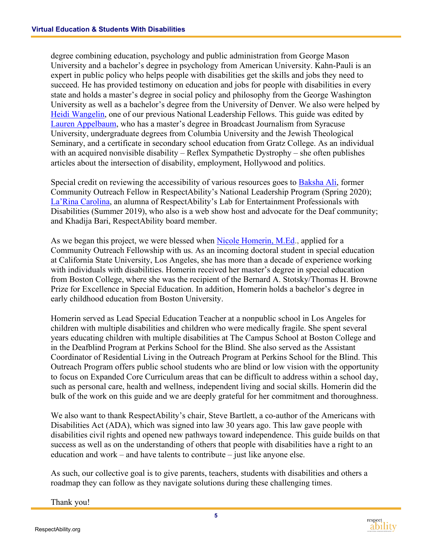degree combining education, psychology and public administration from George Mason University and a bachelor's degree in psychology from American University. Kahn-Pauli is an expert in public policy who helps people with disabilities get the skills and jobs they need to succeed. He has provided testimony on education and jobs for people with disabilities in every state and holds a master's degree in social policy and philosophy from the George Washington University as well as a bachelor's degree from the University of Denver. We also were helped by [Heidi Wangelin,](https://www.respectability.org/2018/09/heidi-wangelin/) one of our previous National Leadership Fellows. This guide was edited by [Lauren Appelbaum,](https://www.respectability.org/2017/12/lauren-appelbaum-communications-director/) who has a master's degree in Broadcast Journalism from Syracuse University, undergraduate degrees from Columbia University and the Jewish Theological Seminary, and a certificate in secondary school education from Gratz College. As an individual with an acquired nonvisible disability – Reflex Sympathetic Dystrophy – she often publishes articles about the intersection of disability, employment, Hollywood and politics.

Special credit on reviewing the accessibility of various resources goes to **Baksha Ali**, former Community Outreach Fellow in RespectAbility's National Leadership Program (Spring 2020); [La'Rina Carolina,](https://www.respectability.org/2019/06/larina-carolina/) an alumna of RespectAbility's Lab for Entertainment Professionals with Disabilities (Summer 2019), who also is a web show host and advocate for the Deaf community; and Khadija Bari, RespectAbility board member.

As we began this project, we were blessed when [Nicole Homerin, M.Ed.](https://www.respectability.org/2020/07/nicole-homerin-community-outreach-fellow/), applied for a Community Outreach Fellowship with us. As an incoming doctoral student in special education at California State University, Los Angeles, she has more than a decade of experience working with individuals with disabilities. Homerin received her master's degree in special education from Boston College, where she was the recipient of the Bernard A. Stotsky/Thomas H. Browne Prize for Excellence in Special Education. In addition, Homerin holds a bachelor's degree in early childhood education from Boston University.

Homerin served as Lead Special Education Teacher at a nonpublic school in Los Angeles for children with multiple disabilities and children who were medically fragile. She spent several years educating children with multiple disabilities at The Campus School at Boston College and in the Deafblind Program at Perkins School for the Blind. She also served as the Assistant Coordinator of Residential Living in the Outreach Program at Perkins School for the Blind. This Outreach Program offers public school students who are blind or low vision with the opportunity to focus on Expanded Core Curriculum areas that can be difficult to address within a school day, such as personal care, health and wellness, independent living and social skills. Homerin did the bulk of the work on this guide and we are deeply grateful for her commitment and thoroughness.

We also want to thank RespectAbility's chair, Steve Bartlett, a co-author of the Americans with Disabilities Act (ADA), which was signed into law 30 years ago. This law gave people with disabilities civil rights and opened new pathways toward independence. This guide builds on that success as well as on the understanding of others that people with disabilities have a right to an education and work – and have talents to contribute – just like anyone else.

As such, our collective goal is to give parents, teachers, students with disabilities and others a roadmap they can follow as they navigate solutions during these challenging times.

Thank you!

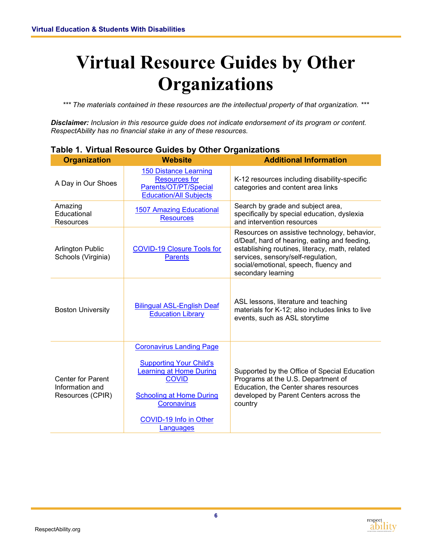### <span id="page-7-0"></span>**Virtual Resource Guides by Other Organizations**

*\*\*\* The materials contained in these resources are the intellectual property of that organization. \*\*\**

*Disclaimer: Inclusion in this resource guide does not indicate endorsement of its program or content. RespectAbility has no financial stake in any of these resources.* 

| <b>Organization</b>                                                                                                                                                                                                                                                            | <b>Website</b>                                                                                                 | <b>Additional Information</b>                                                                                                                                                                                                                       |  |
|--------------------------------------------------------------------------------------------------------------------------------------------------------------------------------------------------------------------------------------------------------------------------------|----------------------------------------------------------------------------------------------------------------|-----------------------------------------------------------------------------------------------------------------------------------------------------------------------------------------------------------------------------------------------------|--|
| A Day in Our Shoes                                                                                                                                                                                                                                                             | <b>150 Distance Learning</b><br><b>Resources for</b><br>Parents/OT/PT/Special<br><b>Education/All Subjects</b> | K-12 resources including disability-specific<br>categories and content area links                                                                                                                                                                   |  |
| Amazing<br>Educational<br><b>Resources</b>                                                                                                                                                                                                                                     | <b>1507 Amazing Educational</b><br><b>Resources</b>                                                            | Search by grade and subject area,<br>specifically by special education, dyslexia<br>and intervention resources                                                                                                                                      |  |
| <b>Arlington Public</b><br>Schools (Virginia)                                                                                                                                                                                                                                  | <b>COVID-19 Closure Tools for</b><br><b>Parents</b>                                                            | Resources on assistive technology, behavior,<br>d/Deaf, hard of hearing, eating and feeding,<br>establishing routines, literacy, math, related<br>services, sensory/self-regulation,<br>social/emotional, speech, fluency and<br>secondary learning |  |
| <b>Boston University</b>                                                                                                                                                                                                                                                       | <b>Bilingual ASL-English Deaf</b><br><b>Education Library</b>                                                  | ASL lessons, literature and teaching<br>materials for K-12; also includes links to live<br>events, such as ASL storytime                                                                                                                            |  |
| <b>Coronavirus Landing Page</b><br><b>Supporting Your Child's</b><br>earning at Home During<br><b>COVID</b><br><b>Center for Parent</b><br>Information and<br>Resources (CPIR)<br><b>Schooling at Home During</b><br><b>Coronavirus</b><br>COVID-19 Info in Other<br>Languages |                                                                                                                | Supported by the Office of Special Education<br>Programs at the U.S. Department of<br>Education, the Center shares resources<br>developed by Parent Centers across the<br>country                                                                   |  |

#### **Table 1. Virtual Resource Guides by Other Organizations**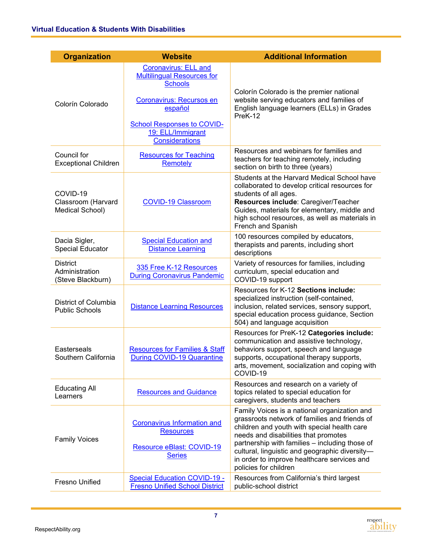| <b>Organization</b>                                    | <b>Website</b>                                                                                                                                                                                               | <b>Additional Information</b>                                                                                                                                                                                                                                                                                                                                    |
|--------------------------------------------------------|--------------------------------------------------------------------------------------------------------------------------------------------------------------------------------------------------------------|------------------------------------------------------------------------------------------------------------------------------------------------------------------------------------------------------------------------------------------------------------------------------------------------------------------------------------------------------------------|
| Colorín Colorado                                       | <b>Coronavirus: ELL and</b><br><b>Multilingual Resources for</b><br><b>Schools</b><br>Coronavirus: Recursos en<br>español<br><b>School Responses to COVID-</b><br>19: ELL/Immigrant<br><b>Considerations</b> | Colorín Colorado is the premier national<br>website serving educators and families of<br>English language learners (ELLs) in Grades<br>PreK-12                                                                                                                                                                                                                   |
| Council for<br><b>Exceptional Children</b>             | <b>Resources for Teaching</b><br>Remotely                                                                                                                                                                    | Resources and webinars for families and<br>teachers for teaching remotely, including<br>section on birth to three (years)                                                                                                                                                                                                                                        |
| COVID-19<br>Classroom (Harvard<br>Medical School)      | <b>COVID-19 Classroom</b>                                                                                                                                                                                    | Students at the Harvard Medical School have<br>collaborated to develop critical resources for<br>students of all ages.<br>Resources include: Caregiver/Teacher<br>Guides, materials for elementary, middle and<br>high school resources, as well as materials in<br>French and Spanish                                                                           |
| Dacia Sigler,<br><b>Special Educator</b>               | <b>Special Education and</b><br><b>Distance Learning</b>                                                                                                                                                     | 100 resources compiled by educators,<br>therapists and parents, including short<br>descriptions                                                                                                                                                                                                                                                                  |
| <b>District</b><br>Administration<br>(Steve Blackburn) | 335 Free K-12 Resources<br><b>During Coronavirus Pandemic</b>                                                                                                                                                | Variety of resources for families, including<br>curriculum, special education and<br>COVID-19 support                                                                                                                                                                                                                                                            |
| District of Columbia<br><b>Public Schools</b>          | <b>Distance Learning Resources</b>                                                                                                                                                                           | Resources for K-12 Sections include:<br>specialized instruction (self-contained,<br>inclusion, related services, sensory support,<br>special education process guidance, Section<br>504) and language acquisition                                                                                                                                                |
| Easterseals<br>Southern California                     | <b>Resources for Families &amp; Staff</b><br><b>During COVID-19 Quarantine</b>                                                                                                                               | Resources for PreK-12 Categories include:<br>communication and assistive technology,<br>behaviors support, speech and language<br>supports, occupational therapy supports,<br>arts, movement, socialization and coping with<br>COVID-19                                                                                                                          |
| <b>Educating All</b><br>Learners                       | <b>Resources and Guidance</b>                                                                                                                                                                                | Resources and research on a variety of<br>topics related to special education for<br>caregivers, students and teachers                                                                                                                                                                                                                                           |
| <b>Family Voices</b>                                   | <b>Coronavirus Information and</b><br><b>Resources</b><br>Resource eBlast: COVID-19<br><b>Series</b>                                                                                                         | Family Voices is a national organization and<br>grassroots network of families and friends of<br>children and youth with special health care<br>needs and disabilities that promotes<br>partnership with families - including those of<br>cultural, linguistic and geographic diversity-<br>in order to improve healthcare services and<br>policies for children |
| Fresno Unified                                         | Special Education COVID-19 -<br><b>Fresno Unified School District</b>                                                                                                                                        | Resources from California's third largest<br>public-school district                                                                                                                                                                                                                                                                                              |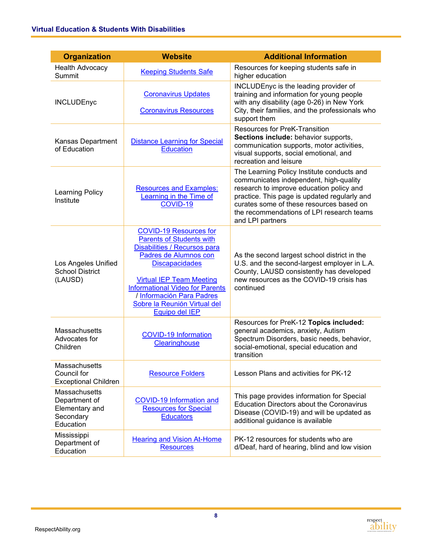| <b>Organization</b>                                                        | <b>Website</b>                                                                                                                                                                                                                                                                                                 | <b>Additional Information</b>                                                                                                                                                                                                                                                                 |  |
|----------------------------------------------------------------------------|----------------------------------------------------------------------------------------------------------------------------------------------------------------------------------------------------------------------------------------------------------------------------------------------------------------|-----------------------------------------------------------------------------------------------------------------------------------------------------------------------------------------------------------------------------------------------------------------------------------------------|--|
| <b>Health Advocacy</b><br>Summit                                           | <b>Keeping Students Safe</b>                                                                                                                                                                                                                                                                                   | Resources for keeping students safe in<br>higher education                                                                                                                                                                                                                                    |  |
| <b>INCLUDEnyc</b>                                                          | <b>Coronavirus Updates</b><br><b>Coronavirus Resources</b>                                                                                                                                                                                                                                                     | INCLUDEnyc is the leading provider of<br>training and information for young people<br>with any disability (age 0-26) in New York<br>City, their families, and the professionals who<br>support them                                                                                           |  |
| Kansas Department<br>of Education                                          | <b>Distance Learning for Special</b><br><b>Education</b>                                                                                                                                                                                                                                                       | Resources for PreK-Transition<br>Sections include: behavior supports,<br>communication supports, motor activities,<br>visual supports, social emotional, and<br>recreation and leisure                                                                                                        |  |
| <b>Learning Policy</b><br>Institute                                        | <b>Resources and Examples:</b><br>Learning in the Time of<br>COVID-19                                                                                                                                                                                                                                          | The Learning Policy Institute conducts and<br>communicates independent, high-quality<br>research to improve education policy and<br>practice. This page is updated regularly and<br>curates some of these resources based on<br>the recommendations of LPI research teams<br>and LPI partners |  |
| Los Angeles Unified<br><b>School District</b><br>(LAUSD)                   | <b>COVID-19 Resources for</b><br><b>Parents of Students with</b><br>Disabilities / Recursos para<br>Padres de Alumnos con<br><b>Discapacidades</b><br><b>Virtual IEP Team Meeting</b><br><b>Informational Video for Parents</b><br>/ Información Para Padres<br>Sobre la Reunión Virtual del<br>Equipo del IEP | As the second largest school district in the<br>U.S. and the second-largest employer in L.A.<br>County, LAUSD consistently has developed<br>new resources as the COVID-19 crisis has<br>continued                                                                                             |  |
| Massachusetts<br>Advocates for<br>Children                                 | <b>COVID-19 Information</b><br>Clearinghouse                                                                                                                                                                                                                                                                   | Resources for PreK-12 Topics included:<br>general academics, anxiety, Autism<br>Spectrum Disorders, basic needs, behavior,<br>social-emotional, special education and<br>transition                                                                                                           |  |
| Massachusetts<br>Council for<br><b>Exceptional Children</b>                | <b>Resource Folders</b>                                                                                                                                                                                                                                                                                        | Lesson Plans and activities for PK-12                                                                                                                                                                                                                                                         |  |
| Massachusetts<br>Department of<br>Elementary and<br>Secondary<br>Education | <b>COVID-19 Information and</b><br><b>Resources for Special</b><br><b>Educators</b>                                                                                                                                                                                                                            | This page provides information for Special<br><b>Education Directors about the Coronavirus</b><br>Disease (COVID-19) and will be updated as<br>additional guidance is available                                                                                                               |  |
| Mississippi<br>Department of<br>Education                                  | <b>Hearing and Vision At-Home</b><br><b>Resources</b>                                                                                                                                                                                                                                                          | PK-12 resources for students who are<br>d/Deaf, hard of hearing, blind and low vision                                                                                                                                                                                                         |  |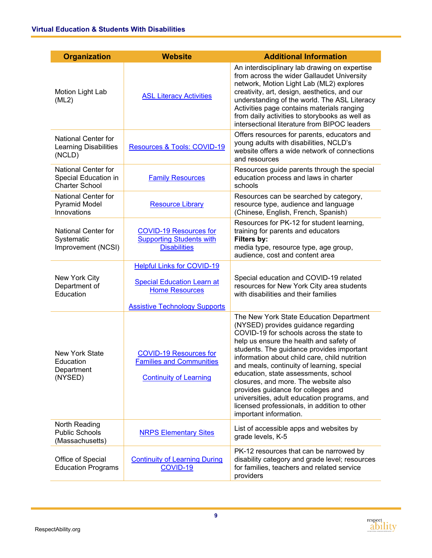| <b>Organization</b>                                                  | <b>Website</b>                                                                                                                          | <b>Additional Information</b>                                                                                                                                                                                                                                                                                                                                                                                                                                                                                                                                    |  |
|----------------------------------------------------------------------|-----------------------------------------------------------------------------------------------------------------------------------------|------------------------------------------------------------------------------------------------------------------------------------------------------------------------------------------------------------------------------------------------------------------------------------------------------------------------------------------------------------------------------------------------------------------------------------------------------------------------------------------------------------------------------------------------------------------|--|
| Motion Light Lab<br>(ML2)                                            | <b>ASL Literacy Activities</b>                                                                                                          | An interdisciplinary lab drawing on expertise<br>from across the wider Gallaudet University<br>network, Motion Light Lab (ML2) explores<br>creativity, art, design, aesthetics, and our<br>understanding of the world. The ASL Literacy<br>Activities page contains materials ranging<br>from daily activities to storybooks as well as<br>intersectional literature from BIPOC leaders                                                                                                                                                                          |  |
| <b>National Center for</b><br><b>Learning Disabilities</b><br>(NCLD) | Resources & Tools: COVID-19                                                                                                             | Offers resources for parents, educators and<br>young adults with disabilities, NCLD's<br>website offers a wide network of connections<br>and resources                                                                                                                                                                                                                                                                                                                                                                                                           |  |
| National Center for<br>Special Education in<br><b>Charter School</b> | <b>Family Resources</b>                                                                                                                 | Resources guide parents through the special<br>education process and laws in charter<br>schools                                                                                                                                                                                                                                                                                                                                                                                                                                                                  |  |
| National Center for<br><b>Pyramid Model</b><br>Innovations           | <b>Resource Library</b>                                                                                                                 | Resources can be searched by category,<br>resource type, audience and language<br>(Chinese, English, French, Spanish)                                                                                                                                                                                                                                                                                                                                                                                                                                            |  |
| <b>National Center for</b><br>Systematic<br>Improvement (NCSI)       | <b>COVID-19 Resources for</b><br><b>Supporting Students with</b><br><b>Disabilities</b>                                                 | Resources for PK-12 for student learning,<br>training for parents and educators<br>Filters by:<br>media type, resource type, age group,<br>audience, cost and content area                                                                                                                                                                                                                                                                                                                                                                                       |  |
| New York City<br>Department of<br>Education                          | <b>Helpful Links for COVID-19</b><br><b>Special Education Learn at</b><br><b>Home Resources</b><br><b>Assistive Technology Supports</b> | Special education and COVID-19 related<br>resources for New York City area students<br>with disabilities and their families                                                                                                                                                                                                                                                                                                                                                                                                                                      |  |
| <b>New York State</b><br>Education<br>Department<br>(NYSED)          | <b>COVID-19 Resources for</b><br><b>Families and Communities</b><br><b>Continuity of Learning</b>                                       | The New York State Education Department<br>(NYSED) provides guidance regarding<br>COVID-19 for schools across the state to<br>help us ensure the health and safety of<br>students. The guidance provides important<br>information about child care, child nutrition<br>and meals, continuity of learning, special<br>education, state assessments, school<br>closures, and more. The website also<br>provides guidance for colleges and<br>universities, adult education programs, and<br>licensed professionals, in addition to other<br>important information. |  |
| North Reading<br><b>Public Schools</b><br>(Massachusetts)            | <b>NRPS Elementary Sites</b>                                                                                                            | List of accessible apps and websites by<br>grade levels, K-5                                                                                                                                                                                                                                                                                                                                                                                                                                                                                                     |  |
| Office of Special<br><b>Education Programs</b>                       | <b>Continuity of Learning During</b><br>COVID-19                                                                                        | PK-12 resources that can be narrowed by<br>disability category and grade level; resources<br>for families, teachers and related service<br>providers                                                                                                                                                                                                                                                                                                                                                                                                             |  |

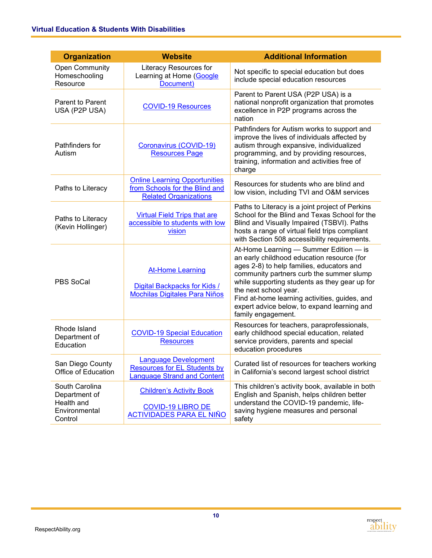| <b>Organization</b>                                                       | <b>Website</b>                                                                                           | <b>Additional Information</b>                                                                                                                                                                                                                                                                                                                                                 |
|---------------------------------------------------------------------------|----------------------------------------------------------------------------------------------------------|-------------------------------------------------------------------------------------------------------------------------------------------------------------------------------------------------------------------------------------------------------------------------------------------------------------------------------------------------------------------------------|
| <b>Open Community</b><br>Homeschooling<br>Resource                        | Literacy Resources for<br>Learning at Home (Google<br>Document)                                          | Not specific to special education but does<br>include special education resources                                                                                                                                                                                                                                                                                             |
| <b>Parent to Parent</b><br>USA (P2P USA)                                  | <b>COVID-19 Resources</b>                                                                                | Parent to Parent USA (P2P USA) is a<br>national nonprofit organization that promotes<br>excellence in P2P programs across the<br>nation                                                                                                                                                                                                                                       |
| Pathfinders for<br>Autism                                                 | Coronavirus (COVID-19)<br><b>Resources Page</b>                                                          | Pathfinders for Autism works to support and<br>improve the lives of individuals affected by<br>autism through expansive, individualized<br>programming, and by providing resources,<br>training, information and activities free of<br>charge                                                                                                                                 |
| Paths to Literacy                                                         | <b>Online Learning Opportunities</b><br>from Schools for the Blind and<br><b>Related Organizations</b>   | Resources for students who are blind and<br>low vision, including TVI and O&M services                                                                                                                                                                                                                                                                                        |
| Paths to Literacy<br>(Kevin Hollinger)                                    | <b>Virtual Field Trips that are</b><br>accessible to students with low<br>vision                         | Paths to Literacy is a joint project of Perkins<br>School for the Blind and Texas School for the<br>Blind and Visually Impaired (TSBVI). Paths<br>hosts a range of virtual field trips compliant<br>with Section 508 accessibility requirements.                                                                                                                              |
| PBS SoCal                                                                 | <b>At-Home Learning</b><br>Digital Backpacks for Kids /<br><b>Mochilas Digitales Para Niños</b>          | At-Home Learning - Summer Edition - is<br>an early childhood education resource (for<br>ages 2-8) to help families, educators and<br>community partners curb the summer slump<br>while supporting students as they gear up for<br>the next school year.<br>Find at-home learning activities, guides, and<br>expert advice below, to expand learning and<br>family engagement. |
| Rhode Island<br>Department of<br>Education                                | <b>COVID-19 Special Education</b><br><b>Resources</b>                                                    | Resources for teachers, paraprofessionals,<br>early childhood special education, related<br>service providers, parents and special<br>education procedures                                                                                                                                                                                                                    |
| San Diego County<br>Office of Education                                   | <b>Language Development</b><br><b>Resources for EL Students by</b><br><b>Language Strand and Content</b> | Curated list of resources for teachers working<br>in California's second largest school district                                                                                                                                                                                                                                                                              |
| South Carolina<br>Department of<br>Health and<br>Environmental<br>Control | <b>Children's Activity Book</b><br><b>COVID-19 LIBRO DE</b><br><b>ACTIVIDADES PARA EL NIÑO</b>           | This children's activity book, available in both<br>English and Spanish, helps children better<br>understand the COVID-19 pandemic, life-<br>saving hygiene measures and personal<br>safety                                                                                                                                                                                   |

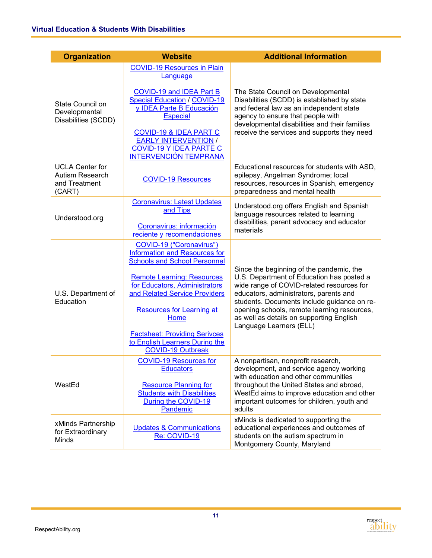| <b>Organization</b>                                                  | <b>Website</b>                                                                                                                                                         | <b>Additional Information</b>                                                                                                                                                                                      |  |  |
|----------------------------------------------------------------------|------------------------------------------------------------------------------------------------------------------------------------------------------------------------|--------------------------------------------------------------------------------------------------------------------------------------------------------------------------------------------------------------------|--|--|
|                                                                      | <b>COVID-19 Resources in Plain</b><br>Language                                                                                                                         |                                                                                                                                                                                                                    |  |  |
| State Council on<br>Developmental<br>Disabilities (SCDD)             | COVID-19 and IDEA Part B<br><b>Special Education / COVID-19</b><br>y IDEA Parte B Educación<br><b>Especial</b>                                                         | The State Council on Developmental<br>Disabilities (SCDD) is established by state<br>and federal law as an independent state<br>agency to ensure that people with<br>developmental disabilities and their families |  |  |
|                                                                      | <b>COVID-19 &amp; IDEA PART C</b><br><b>EARLY INTERVENTION /</b><br><b>COVID-19 Y IDEA PARTE C</b><br><b>INTERVENCIÓN TEMPRANA</b>                                     | receive the services and supports they need                                                                                                                                                                        |  |  |
| <b>UCLA Center for</b><br>Autism Research<br>and Treatment<br>(CART) | <b>COVID-19 Resources</b>                                                                                                                                              | Educational resources for students with ASD,<br>epilepsy, Angelman Syndrome; local<br>resources, resources in Spanish, emergency<br>preparedness and mental health                                                 |  |  |
| Understood.org                                                       | <b>Coronavirus: Latest Updates</b><br>and Tips                                                                                                                         | Understood.org offers English and Spanish<br>language resources related to learning                                                                                                                                |  |  |
|                                                                      | Coronavirus: información<br>reciente y recomendaciones                                                                                                                 | disabilities, parent advocacy and educator<br>materials                                                                                                                                                            |  |  |
| U.S. Department of<br>Education                                      | COVID-19 ("Coronavirus")<br>Information and Resources for<br><b>Schools and School Personnel</b><br><b>Remote Learning: Resources</b><br>for Educators, Administrators | Since the beginning of the pandemic, the<br>U.S. Department of Education has posted a<br>wide range of COVID-related resources for                                                                                 |  |  |
|                                                                      | and Related Service Providers<br><b>Resources for Learning at</b><br>Home                                                                                              | educators, administrators, parents and<br>students. Documents include guidance on re-<br>opening schools, remote learning resources,<br>as well as details on supporting English<br>Language Learners (ELL)        |  |  |
|                                                                      | <b>Factsheet: Providing Serivces</b><br>to English Learners During the<br><b>COVID-19 Outbreak</b>                                                                     |                                                                                                                                                                                                                    |  |  |
|                                                                      | <b>COVID-19 Resources for</b><br><b>Educators</b>                                                                                                                      | A nonpartisan, nonprofit research,<br>development, and service agency working<br>with education and other communities                                                                                              |  |  |
| WestEd                                                               | <b>Resource Planning for</b><br><b>Students with Disabilities</b><br>During the COVID-19<br>Pandemic                                                                   | throughout the United States and abroad,<br>WestEd aims to improve education and other<br>important outcomes for children, youth and<br>adults                                                                     |  |  |
| xMinds Partnership<br>for Extraordinary<br>Minds                     | <b>Updates &amp; Communications</b><br>Re: COVID-19                                                                                                                    | xMinds is dedicated to supporting the<br>educational experiences and outcomes of<br>students on the autism spectrum in<br>Montgomery County, Maryland                                                              |  |  |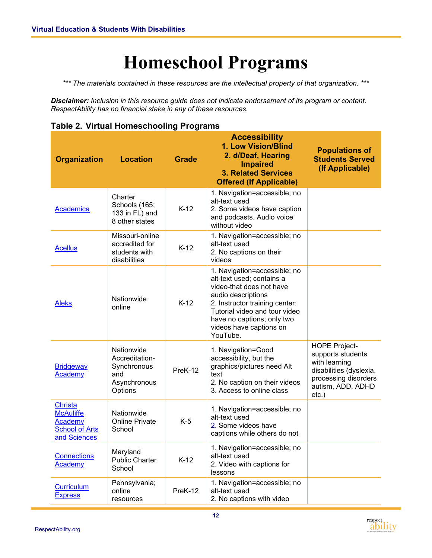### **Homeschool Programs**

<span id="page-13-0"></span>*\*\*\* The materials contained in these resources are the intellectual property of that organization. \*\*\**

*Disclaimer: Inclusion in this resource guide does not indicate endorsement of its program or content. RespectAbility has no financial stake in any of these resources.* 

**Table 2. Virtual Homeschooling Programs**

| <b>Organization</b>                                                                    | <b>Location</b>                                                               | <b>Accessibility</b><br>1. Low Vision/Blind<br>2. d/Deaf, Hearing<br><b>Grade</b><br><b>Impaired</b><br><b>3. Related Services</b><br><b>Offered (If Applicable)</b> |                                                                                                                                                                                                                                                     | <b>Populations of</b><br><b>Students Served</b><br>(If Applicable)                                                                             |
|----------------------------------------------------------------------------------------|-------------------------------------------------------------------------------|----------------------------------------------------------------------------------------------------------------------------------------------------------------------|-----------------------------------------------------------------------------------------------------------------------------------------------------------------------------------------------------------------------------------------------------|------------------------------------------------------------------------------------------------------------------------------------------------|
| Academica                                                                              | Charter<br>Schools (165;<br>133 in FL) and<br>8 other states                  | $K-12$                                                                                                                                                               | 1. Navigation=accessible; no<br>alt-text used<br>2. Some videos have caption<br>and podcasts. Audio voice<br>without video                                                                                                                          |                                                                                                                                                |
| <b>Acellus</b>                                                                         | Missouri-online<br>accredited for<br>students with<br>disabilities            | $K-12$                                                                                                                                                               | 1. Navigation=accessible; no<br>alt-text used<br>2. No captions on their<br>videos                                                                                                                                                                  |                                                                                                                                                |
| <b>Aleks</b>                                                                           | Nationwide<br>online                                                          | $K-12$                                                                                                                                                               | 1. Navigation=accessible; no<br>alt-text used; contains a<br>video-that does not have<br>audio descriptions<br>2. Instructor training center:<br>Tutorial video and tour video<br>have no captions; only two<br>videos have captions on<br>YouTube. |                                                                                                                                                |
| <b>Bridgeway</b><br>Academy                                                            | Nationwide<br>Accreditation-<br>Synchronous<br>and<br>Asynchronous<br>Options | PreK-12                                                                                                                                                              | 1. Navigation=Good<br>accessibility, but the<br>graphics/pictures need Alt<br>text<br>2. No caption on their videos<br>3. Access to online class                                                                                                    | <b>HOPE Project-</b><br>supports students<br>with learning<br>disabilities (dyslexia,<br>processing disorders<br>autism, ADD, ADHD<br>$etc.$ ) |
| <b>Christa</b><br><b>McAuliffe</b><br>Academy<br><b>School of Arts</b><br>and Sciences | Nationwide<br><b>Online Private</b><br>School                                 | $K-5$                                                                                                                                                                | 1. Navigation=accessible; no<br>alt-text used<br>2. Some videos have<br>captions while others do not                                                                                                                                                |                                                                                                                                                |
| <b>Connections</b><br>Academy                                                          | Maryland<br><b>Public Charter</b><br>School                                   | $K-12$                                                                                                                                                               | 1. Navigation=accessible; no<br>alt-text used<br>2. Video with captions for<br>lessons                                                                                                                                                              |                                                                                                                                                |
| <b>Curriculum</b><br><b>Express</b>                                                    | Pennsylvania;<br>online<br>resources                                          | PreK-12                                                                                                                                                              | 1. Navigation=accessible; no<br>alt-text used<br>2. No captions with video                                                                                                                                                                          |                                                                                                                                                |

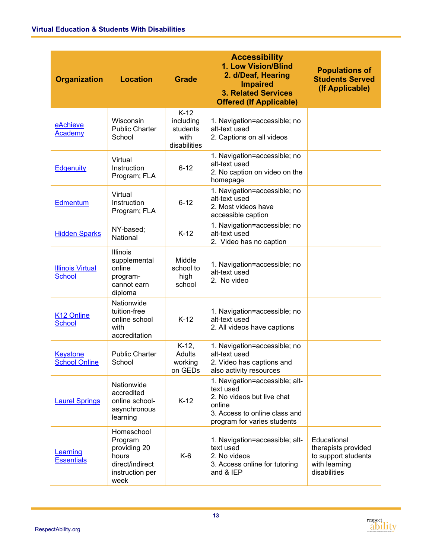| <b>Organization</b>                      | <b>Location</b>                                                                              | <b>Grade</b>                                            | <b>Accessibility</b><br>1. Low Vision/Blind<br>2. d/Deaf, Hearing<br><b>Impaired</b><br><b>3. Related Services</b><br><b>Offered (If Applicable)</b> | <b>Populations of</b><br><b>Students Served</b><br>(If Applicable)                         |
|------------------------------------------|----------------------------------------------------------------------------------------------|---------------------------------------------------------|------------------------------------------------------------------------------------------------------------------------------------------------------|--------------------------------------------------------------------------------------------|
| eAchieve<br>Academy                      | Wisconsin<br><b>Public Charter</b><br>School                                                 | $K-12$<br>including<br>students<br>with<br>disabilities | 1. Navigation=accessible; no<br>alt-text used<br>2. Captions on all videos                                                                           |                                                                                            |
| <b>Edgenuity</b>                         | Virtual<br>Instruction<br>Program; FLA                                                       | $6 - 12$                                                | 1. Navigation=accessible; no<br>alt-text used<br>2. No caption on video on the<br>homepage                                                           |                                                                                            |
| Edmentum                                 | Virtual<br>Instruction<br>Program; FLA                                                       | $6 - 12$                                                | 1. Navigation=accessible; no<br>alt-text used<br>2. Most videos have<br>accessible caption                                                           |                                                                                            |
| <b>Hidden Sparks</b>                     | NY-based;<br>National                                                                        | $K-12$                                                  | 1. Navigation=accessible; no<br>alt-text used<br>2. Video has no caption                                                                             |                                                                                            |
| <b>Illinois Virtual</b><br><b>School</b> | Illinois<br>supplemental<br>online<br>program-<br>cannot earn<br>diploma                     | Middle<br>school to<br>high<br>school                   | 1. Navigation=accessible; no<br>alt-text used<br>2. No video                                                                                         |                                                                                            |
| K <sub>12</sub> Online<br><b>School</b>  | Nationwide<br>tuition-free<br>online school<br>with<br>accreditation                         | $K-12$                                                  | 1. Navigation=accessible; no<br>alt-text used<br>2. All videos have captions                                                                         |                                                                                            |
| <b>Keystone</b><br><b>School Online</b>  | <b>Public Charter</b><br>School                                                              | $K-12$ ,<br>Adults<br>working<br>on GEDs                | 1. Navigation=accessible; no<br>alt-text used<br>2. Video has captions and<br>also activity resources                                                |                                                                                            |
| <b>Laurel Springs</b>                    | Nationwide<br>accredited<br>online school-<br>asynchronous<br>learning                       | $K-12$                                                  | 1. Navigation=accessible; alt-<br>text used<br>2. No videos but live chat<br>online<br>3. Access to online class and<br>program for varies students  |                                                                                            |
| Learning<br><b>Essentials</b>            | Homeschool<br>Program<br>providing 20<br>hours<br>direct/indirect<br>instruction per<br>week | K-6                                                     | 1. Navigation=accessible; alt-<br>text used<br>2. No videos<br>3. Access online for tutoring<br>and & IEP                                            | Educational<br>therapists provided<br>to support students<br>with learning<br>disabilities |

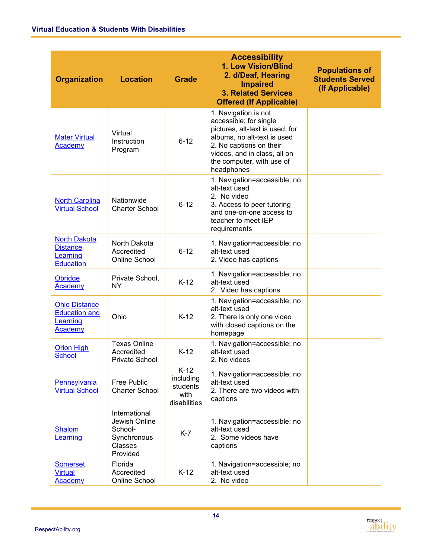| <b>Organization</b>                                                        | <b>Location</b>                                                                 | <b>Grade</b>                                            | <b>Accessibility</b><br>1. Low Vision/Blind<br>2. d/Deaf, Hearing<br><b>Impaired</b><br><b>3. Related Services</b><br><b>Offered (If Applicable)</b>                                                                   | <b>Populations of</b><br><b>Students Served</b><br>(If Applicable) |
|----------------------------------------------------------------------------|---------------------------------------------------------------------------------|---------------------------------------------------------|------------------------------------------------------------------------------------------------------------------------------------------------------------------------------------------------------------------------|--------------------------------------------------------------------|
| <b>Mater Virtual</b><br>Academy                                            | Virtual<br>Instruction<br>Program                                               | $6 - 12$                                                | 1. Navigation is not<br>accessible; for single<br>pictures, alt-text is used; for<br>albums, no alt-text is used<br>2. No captions on their<br>videos, and in class, all on<br>the computer, with use of<br>headphones |                                                                    |
| <b>North Carolina</b><br><b>Virtual School</b>                             | Nationwide<br><b>Charter School</b>                                             | $6 - 12$                                                | 1. Navigation=accessible; no<br>alt-text used<br>2. No video<br>3. Access to peer tutoring<br>and one-on-one access to<br>teacher to meet IEP<br>requirements                                                          |                                                                    |
| <b>North Dakota</b><br><b>Distance</b><br>Learning<br><b>Education</b>     | North Dakota<br>Accredited<br>Online School                                     | $6 - 12$                                                | 1. Navigation=accessible; no<br>alt-text used<br>2. Video has captions                                                                                                                                                 |                                                                    |
| Obridge<br>Academy                                                         | Private School,<br>ΝY                                                           | $K-12$                                                  | 1. Navigation=accessible; no<br>alt-text used<br>2. Video has captions                                                                                                                                                 |                                                                    |
| <b>Ohio Distance</b><br><b>Education and</b><br>Learning<br><b>Academy</b> | Ohio                                                                            | $K-12$                                                  | 1. Navigation=accessible; no<br>alt-text used<br>2. There is only one video<br>with closed captions on the<br>homepage                                                                                                 |                                                                    |
| <b>Orion High</b><br><b>School</b>                                         | <b>Texas Online</b><br>Accredited<br>Private School                             | $K-12$                                                  | 1. Navigation=accessible; no<br>alt-text used<br>2. No videos                                                                                                                                                          |                                                                    |
| Pennsylvania<br><b>Virtual School</b>                                      | <b>Free Public</b><br><b>Charter School</b>                                     | $K-12$<br>including<br>students<br>with<br>disabilities | 1. Navigation=accessible; no<br>alt-text used<br>2. There are two videos with<br>captions                                                                                                                              |                                                                    |
| <b>Shalom</b><br>Learning                                                  | International<br>Jewish Online<br>School-<br>Synchronous<br>Classes<br>Provided | $K-7$                                                   | 1. Navigation=accessible; no<br>alt-text used<br>2. Some videos have<br>captions                                                                                                                                       |                                                                    |
| <b>Somerset</b><br><b>Virtual</b><br>Academy                               | Florida<br>Accredited<br>Online School                                          | $K-12$                                                  | 1. Navigation=accessible; no<br>alt-text used<br>2. No video                                                                                                                                                           |                                                                    |

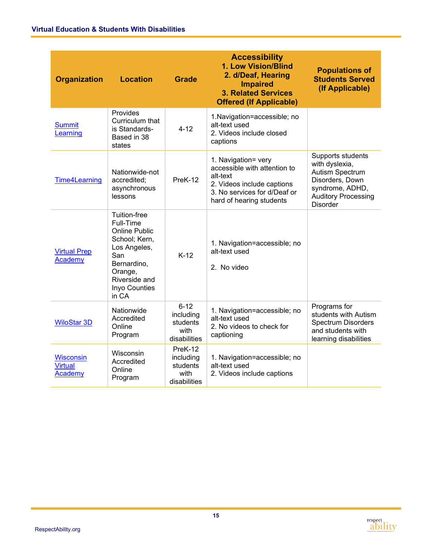| <b>Organization</b>                           | <b>Location</b>                                                                                                                                         | <b>Accessibility</b><br>1. Low Vision/Blind<br>2. d/Deaf, Hearing<br><b>Grade</b><br><b>Impaired</b><br><b>3. Related Services</b><br><b>Offered (If Applicable)</b> |                                                                                                                                                           | <b>Populations of</b><br><b>Students Served</b><br>(If Applicable)                                                                            |
|-----------------------------------------------|---------------------------------------------------------------------------------------------------------------------------------------------------------|----------------------------------------------------------------------------------------------------------------------------------------------------------------------|-----------------------------------------------------------------------------------------------------------------------------------------------------------|-----------------------------------------------------------------------------------------------------------------------------------------------|
| <b>Summit</b><br>Learning                     | Provides<br>Curriculum that<br>is Standards-<br>Based in 38<br>states                                                                                   | $4 - 12$                                                                                                                                                             | 1. Navigation=accessible; no<br>alt-text used<br>2. Videos include closed<br>captions                                                                     |                                                                                                                                               |
| <b>Time4Learning</b>                          | Nationwide-not<br>accredited;<br>asynchronous<br>lessons                                                                                                | PreK-12                                                                                                                                                              | 1. Navigation= very<br>accessible with attention to<br>alt-text<br>2. Videos include captions<br>3. No services for d/Deaf or<br>hard of hearing students | Supports students<br>with dyslexia,<br>Autism Spectrum<br>Disorders, Down<br>syndrome, ADHD,<br><b>Auditory Processing</b><br><b>Disorder</b> |
| <b>Virtual Prep</b><br>Academy                | Tuition-free<br>Full-Time<br>Online Public<br>School; Kern,<br>Los Angeles,<br>San<br>Bernardino,<br>Orange,<br>Riverside and<br>Inyo Counties<br>in CA | $K-12$                                                                                                                                                               | 1. Navigation=accessible; no<br>alt-text used<br>2. No video                                                                                              |                                                                                                                                               |
| <b>WiloStar 3D</b>                            | Nationwide<br>Accredited<br>Online<br>Program                                                                                                           | $6 - 12$<br>including<br>students<br>with<br>disabilities                                                                                                            | 1. Navigation=accessible; no<br>alt-text used<br>2. No videos to check for<br>captioning                                                                  | Programs for<br>students with Autism<br><b>Spectrum Disorders</b><br>and students with<br>learning disabilities                               |
| <b>Wisconsin</b><br><b>Virtual</b><br>Academy | Wisconsin<br>Accredited<br>Online<br>Program                                                                                                            | PreK-12<br>including<br>students<br>with<br>disabilities                                                                                                             | 1. Navigation=accessible; no<br>alt-text used<br>2. Videos include captions                                                                               |                                                                                                                                               |

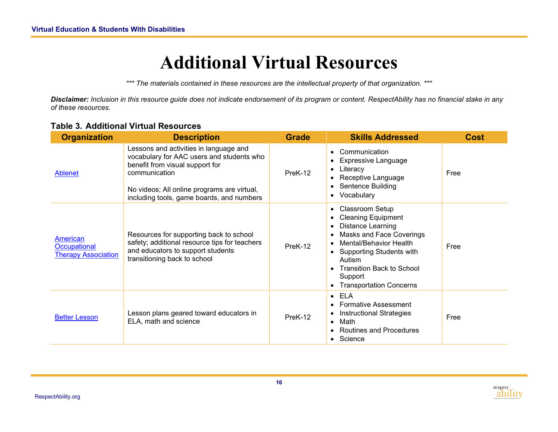### **Additional Virtual Resources**

*\*\*\* The materials contained in these resources are the intellectual property of that organization. \*\*\**

*Disclaimer: Inclusion in this resource guide does not indicate endorsement of its program or content. RespectAbility has no financial stake in any of these resources.*

#### **Table 3. Additional Virtual Resources**

<span id="page-17-0"></span>

| <b>Organization</b>                                    | <b>Description</b>                                                                                                                                                                                                                  | <b>Grade</b> | <b>Skills Addressed</b>                                                                                                                                                                                                                                | <b>Cost</b> |
|--------------------------------------------------------|-------------------------------------------------------------------------------------------------------------------------------------------------------------------------------------------------------------------------------------|--------------|--------------------------------------------------------------------------------------------------------------------------------------------------------------------------------------------------------------------------------------------------------|-------------|
| Ablenet                                                | Lessons and activities in language and<br>vocabulary for AAC users and students who<br>benefit from visual support for<br>communication<br>No videos; All online programs are virtual,<br>including tools, game boards, and numbers | PreK-12      | Communication<br><b>Expressive Language</b><br>Literacy<br>$\bullet$<br>Receptive Language<br>• Sentence Building<br>• Vocabulary                                                                                                                      | Free        |
| American<br>Occupational<br><b>Therapy Association</b> | Resources for supporting back to school<br>safety; additional resource tips for teachers<br>and educators to support students<br>transitioning back to school                                                                       | PreK-12      | • Classroom Setup<br><b>Cleaning Equipment</b><br><b>Distance Learning</b><br><b>Masks and Face Coverings</b><br>Mental/Behavior Health<br>• Supporting Students with<br>Autism<br>• Transition Back to School<br>Support<br>• Transportation Concerns | Free        |
| <b>Better Lesson</b>                                   | Lesson plans geared toward educators in<br>ELA, math and science                                                                                                                                                                    | PreK-12      | $\bullet$ ELA<br><b>Formative Assessment</b><br><b>Instructional Strategies</b><br>Math<br>$\bullet$<br><b>Routines and Procedures</b><br>$\bullet$ Science                                                                                            | Free        |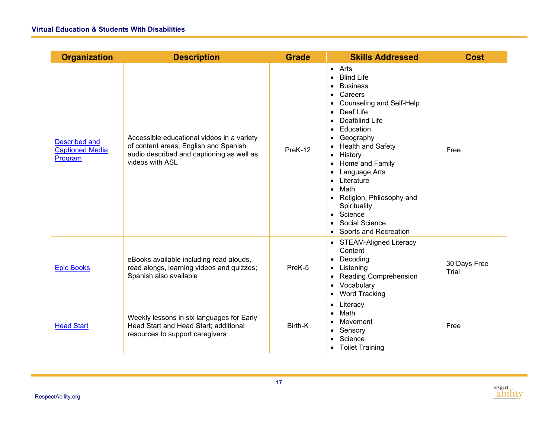| <b>Organization</b>                                       | <b>Description</b>                                                                                                                                  | <b>Grade</b> | <b>Skills Addressed</b>                                                                                                                                                                                                                                                                                                                                                                                                                            | <b>Cost</b>           |
|-----------------------------------------------------------|-----------------------------------------------------------------------------------------------------------------------------------------------------|--------------|----------------------------------------------------------------------------------------------------------------------------------------------------------------------------------------------------------------------------------------------------------------------------------------------------------------------------------------------------------------------------------------------------------------------------------------------------|-----------------------|
| <b>Described and</b><br><b>Captioned Media</b><br>Program | Accessible educational videos in a variety<br>of content areas; English and Spanish<br>audio described and captioning as well as<br>videos with ASL | PreK-12      | $\bullet$ Arts<br><b>Blind Life</b><br><b>Business</b><br>Careers<br>Counseling and Self-Help<br>Deaf Life<br>$\bullet$<br>Deafblind Life<br>$\bullet$<br>Education<br>$\bullet$<br>Geography<br><b>Health and Safety</b><br>History<br>$\bullet$<br>Home and Family<br>$\bullet$<br>Language Arts<br>Literature<br>Math<br>$\bullet$<br>• Religion, Philosophy and<br>Spirituality<br>• Science<br>Social Science<br><b>Sports and Recreation</b> | Free                  |
| <b>Epic Books</b>                                         | eBooks available including read alouds,<br>read alongs, learning videos and quizzes;<br>Spanish also available                                      | PreK-5       | • STEAM-Aligned Literacy<br>Content<br>Decoding<br>Listening<br>$\bullet$<br><b>Reading Comprehension</b><br>Vocabulary<br>• Word Tracking                                                                                                                                                                                                                                                                                                         | 30 Days Free<br>Trial |
| <b>Head Start</b>                                         | Weekly lessons in six languages for Early<br>Head Start and Head Start; additional<br>resources to support caregivers                               | Birth-K      | • Literacy<br>Math<br>Movement<br>Sensory<br>Science<br><b>Toilet Training</b>                                                                                                                                                                                                                                                                                                                                                                     | Free                  |

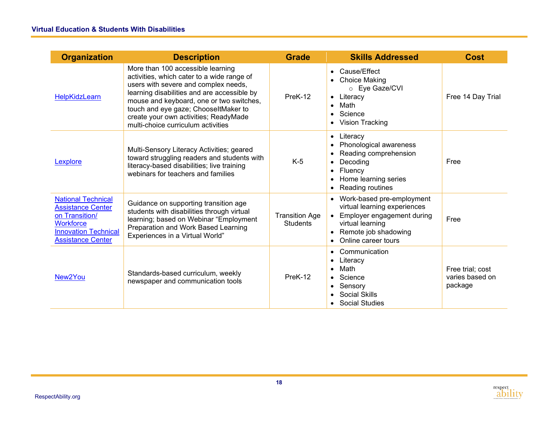| <b>Organization</b>                                                                                                                                    | <b>Description</b>                                                                                                                                                                                                                                                                                                                        | <b>Grade</b>                             | <b>Skills Addressed</b>                                                                                                                                      | <b>Cost</b>                                    |
|--------------------------------------------------------------------------------------------------------------------------------------------------------|-------------------------------------------------------------------------------------------------------------------------------------------------------------------------------------------------------------------------------------------------------------------------------------------------------------------------------------------|------------------------------------------|--------------------------------------------------------------------------------------------------------------------------------------------------------------|------------------------------------------------|
| <b>HelpKidzLearn</b>                                                                                                                                   | More than 100 accessible learning<br>activities, which cater to a wide range of<br>users with severe and complex needs,<br>learning disabilities and are accessible by<br>mouse and keyboard, one or two switches,<br>touch and eye gaze; ChooseltMaker to<br>create your own activities; ReadyMade<br>multi-choice curriculum activities | PreK-12                                  | Cause/Effect<br>Choice Making<br>$\bullet$<br>o Eye Gaze/CVI<br>• Literacy<br>Math<br>Science<br>$\bullet$<br>• Vision Tracking                              | Free 14 Day Trial                              |
| Lexplore                                                                                                                                               | Multi-Sensory Literacy Activities; geared<br>toward struggling readers and students with<br>literacy-based disabilities; live training<br>webinars for teachers and families                                                                                                                                                              | K-5                                      | • Literacy<br>Phonological awareness<br>Reading comprehension<br>Decoding<br>Fluency<br>$\bullet$<br>Home learning series<br>Reading routines                | Free                                           |
| <b>National Technical</b><br><b>Assistance Center</b><br>on Transition/<br><b>Workforce</b><br><b>Innovation Technical</b><br><b>Assistance Center</b> | Guidance on supporting transition age<br>students with disabilities through virtual<br>learning; based on Webinar "Employment<br>Preparation and Work Based Learning<br>Experiences in a Virtual World"                                                                                                                                   | <b>Transition Age</b><br><b>Students</b> | • Work-based pre-employment<br>virtual learning experiences<br>Employer engagement during<br>virtual learning<br>Remote job shadowing<br>Online career tours | Free                                           |
| New <sub>2You</sub>                                                                                                                                    | Standards-based curriculum, weekly<br>newspaper and communication tools                                                                                                                                                                                                                                                                   | PreK-12                                  | Communication<br>Literacy<br>Math<br>Science<br>Sensory<br>Social Skills<br><b>Social Studies</b>                                                            | Free trial; cost<br>varies based on<br>package |

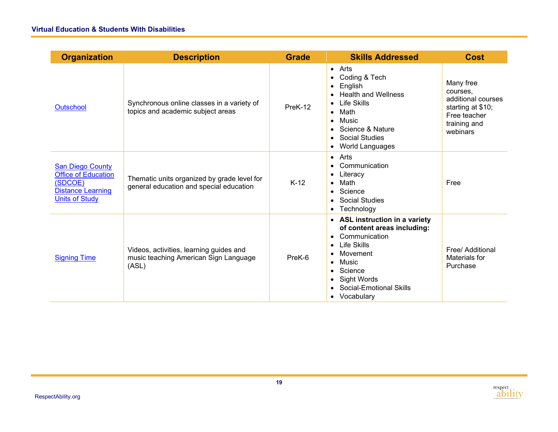| <b>Organization</b>                                                                                                   | <b>Description</b>                                                                        | <b>Grade</b> | <b>Skills Addressed</b>                                                                                                                                                                                                               | <b>Cost</b>                                                                                                  |
|-----------------------------------------------------------------------------------------------------------------------|-------------------------------------------------------------------------------------------|--------------|---------------------------------------------------------------------------------------------------------------------------------------------------------------------------------------------------------------------------------------|--------------------------------------------------------------------------------------------------------------|
| Outschool                                                                                                             | Synchronous online classes in a variety of<br>topics and academic subject areas           | PreK-12      | $\bullet$ Arts<br>Coding & Tech<br>$\bullet$<br>English<br>$\bullet$<br><b>Health and Wellness</b><br><b>Life Skills</b><br>Math<br>$\bullet$<br>Music<br>• Science & Nature<br><b>Social Studies</b><br>World Languages<br>$\bullet$ | Many free<br>courses.<br>additional courses<br>starting at \$10;<br>Free teacher<br>training and<br>webinars |
| <b>San Diego County</b><br><b>Office of Education</b><br>(SDCOE)<br><b>Distance Learning</b><br><b>Units of Study</b> | Thematic units organized by grade level for<br>general education and special education    | $K-12$       | $\bullet$ Arts<br>Communication<br>Literacy<br>Math<br>Science<br>• Social Studies<br>• Technology                                                                                                                                    | Free                                                                                                         |
| <b>Signing Time</b>                                                                                                   | Videos, activities, learning guides and<br>music teaching American Sign Language<br>(ASL) | PreK-6       | • ASL instruction in a variety<br>of content areas including:<br>Communication<br><b>Life Skills</b><br>$\bullet$<br>Movement<br>Music<br>• Science<br>• Sight Words<br>• Social-Emotional Skills<br>• Vocabulary                     | Free/ Additional<br>Materials for<br>Purchase                                                                |

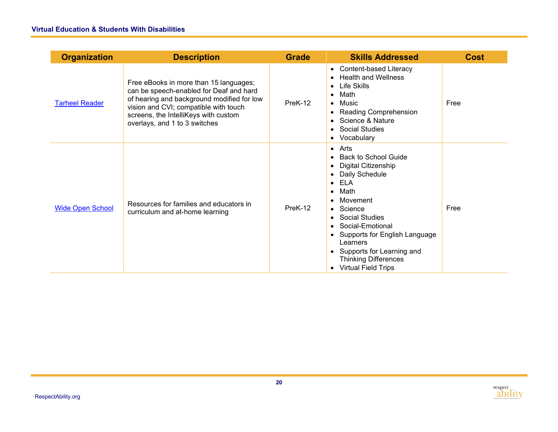| <b>Organization</b>     | <b>Description</b>                                                                                                                                                                                                                                | <b>Grade</b> | <b>Skills Addressed</b>                                                                                                                                                                                                                                                                                                                             | <b>Cost</b> |
|-------------------------|---------------------------------------------------------------------------------------------------------------------------------------------------------------------------------------------------------------------------------------------------|--------------|-----------------------------------------------------------------------------------------------------------------------------------------------------------------------------------------------------------------------------------------------------------------------------------------------------------------------------------------------------|-------------|
| <b>Tarheel Reader</b>   | Free eBooks in more than 15 languages;<br>can be speech-enabled for Deaf and hard<br>of hearing and background modified for low<br>vision and CVI; compatible with touch<br>screens, the IntelliKeys with custom<br>overlays, and 1 to 3 switches | PreK-12      | • Content-based Literacy<br><b>Health and Wellness</b><br><b>Life Skills</b><br>Math<br>$\bullet$<br>$\bullet$ Music<br><b>Reading Comprehension</b><br>• Science & Nature<br>• Social Studies<br>• Vocabulary                                                                                                                                      | Free        |
| <b>Wide Open School</b> | Resources for families and educators in<br>curriculum and at-home learning                                                                                                                                                                        | PreK-12      | $\bullet$ Arts<br><b>Back to School Guide</b><br>Digital Citizenship<br>$\bullet$<br>Daily Schedule<br>$\bullet$ ELA<br>Math<br>$\bullet$<br>Movement<br>Science<br><b>Social Studies</b><br>Social-Emotional<br>• Supports for English Language<br>Learners<br>• Supports for Learning and<br><b>Thinking Differences</b><br>• Virtual Field Trips | Free        |

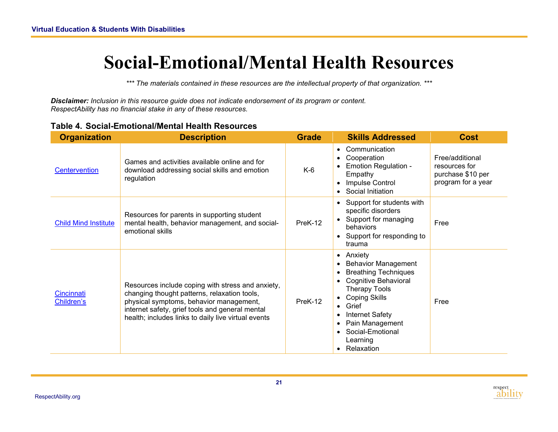### **Social-Emotional/Mental Health Resources**

*\*\*\* The materials contained in these resources are the intellectual property of that organization. \*\*\**

*Disclaimer: Inclusion in this resource guide does not indicate endorsement of its program or content. RespectAbility has no financial stake in any of these resources.* 

<span id="page-22-0"></span>

| <b>Organization</b>         | <b>Description</b>                                                                                                                                                                                                                                     | <b>Grade</b> | <b>Skills Addressed</b>                                                                                                                                                                                                                                                                     | <b>Cost</b>                                                                 |
|-----------------------------|--------------------------------------------------------------------------------------------------------------------------------------------------------------------------------------------------------------------------------------------------------|--------------|---------------------------------------------------------------------------------------------------------------------------------------------------------------------------------------------------------------------------------------------------------------------------------------------|-----------------------------------------------------------------------------|
| <b>Centervention</b>        | Games and activities available online and for<br>download addressing social skills and emotion<br>regulation                                                                                                                                           | K-6          | Communication<br>$\bullet$<br>Cooperation<br>$\bullet$<br><b>Emotion Regulation -</b><br>Empathy<br>Impulse Control<br>Social Initiation                                                                                                                                                    | Free/additional<br>resources for<br>purchase \$10 per<br>program for a year |
| <b>Child Mind Institute</b> | Resources for parents in supporting student<br>mental health, behavior management, and social-<br>emotional skills                                                                                                                                     | PreK-12      | Support for students with<br>$\bullet$<br>specific disorders<br>• Support for managing<br>behaviors<br>• Support for responding to<br>trauma                                                                                                                                                | Free                                                                        |
| Cincinnati<br>Children's    | Resources include coping with stress and anxiety,<br>changing thought patterns, relaxation tools,<br>physical symptoms, behavior management,<br>internet safety, grief tools and general mental<br>health; includes links to daily live virtual events | PreK-12      | • Anxiety<br><b>Behavior Management</b><br>$\bullet$<br><b>Breathing Techniques</b><br>Cognitive Behavioral<br><b>Therapy Tools</b><br><b>Coping Skills</b><br>Grief<br>$\bullet$<br><b>Internet Safety</b><br>Pain Management<br>Social-Emotional<br>$\bullet$<br>Learning<br>• Relaxation | Free                                                                        |

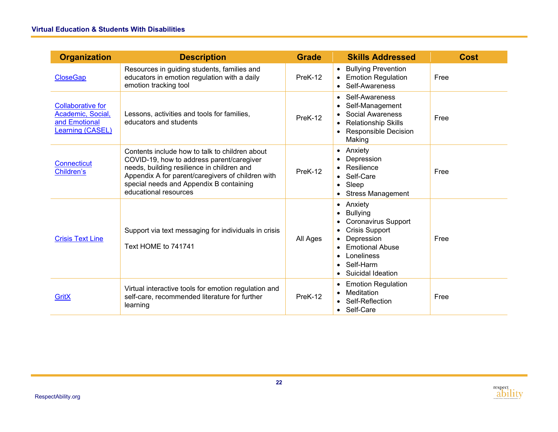| <b>Organization</b>                                                                | <b>Description</b>                                                                                                                                                                                                                                                 | <b>Grade</b> | <b>Skills Addressed</b>                                                                                                                                                                             | <b>Cost</b> |
|------------------------------------------------------------------------------------|--------------------------------------------------------------------------------------------------------------------------------------------------------------------------------------------------------------------------------------------------------------------|--------------|-----------------------------------------------------------------------------------------------------------------------------------------------------------------------------------------------------|-------------|
| <b>CloseGap</b>                                                                    | Resources in guiding students, families and<br>educators in emotion regulation with a daily<br>emotion tracking tool                                                                                                                                               | PreK-12      | <b>Bullying Prevention</b><br>$\bullet$<br>• Emotion Regulation<br>Self-Awareness<br>$\bullet$                                                                                                      | Free        |
| <b>Collaborative for</b><br>Academic, Social,<br>and Emotional<br>Learning (CASEL) | Lessons, activities and tools for families,<br>educators and students                                                                                                                                                                                              | PreK-12      | Self-Awareness<br>$\bullet$<br>Self-Management<br>$\bullet$<br>Social Awareness<br><b>Relationship Skills</b><br><b>Responsible Decision</b><br>Making                                              | Free        |
| <b>Connecticut</b><br>Children's                                                   | Contents include how to talk to children about<br>COVID-19, how to address parent/caregiver<br>needs, building resilience in children and<br>Appendix A for parent/caregivers of children with<br>special needs and Appendix B containing<br>educational resources | PreK-12      | Anxiety<br>$\bullet$<br>Depression<br>Resilience<br>Self-Care<br>$\bullet$<br>Sleep<br>$\bullet$<br><b>Stress Management</b>                                                                        | Free        |
| <b>Crisis Text Line</b>                                                            | Support via text messaging for individuals in crisis<br>Text HOME to 741741                                                                                                                                                                                        | All Ages     | Anxiety<br>$\bullet$<br><b>Bullying</b><br><b>Coronavirus Support</b><br><b>Crisis Support</b><br>Depression<br><b>Emotional Abuse</b><br>Loneliness<br>Self-Harm<br>$\bullet$<br>Suicidal Ideation | Free        |
| GritX                                                                              | Virtual interactive tools for emotion regulation and<br>self-care, recommended literature for further<br>learning                                                                                                                                                  | PreK-12      | <b>Emotion Regulation</b><br>٠<br>Meditation<br>Self-Reflection<br>• Self-Care                                                                                                                      | Free        |

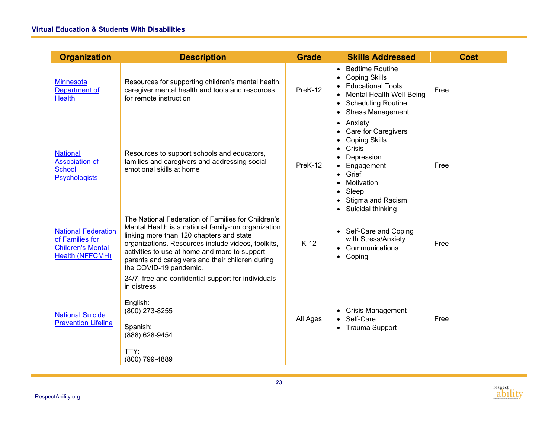| <b>Organization</b>                                                                          | <b>Description</b>                                                                                                                                                                                                                                                                                                                         | <b>Grade</b> | <b>Skills Addressed</b>                                                                                                                                                                                                                                                                                         | <b>Cost</b> |
|----------------------------------------------------------------------------------------------|--------------------------------------------------------------------------------------------------------------------------------------------------------------------------------------------------------------------------------------------------------------------------------------------------------------------------------------------|--------------|-----------------------------------------------------------------------------------------------------------------------------------------------------------------------------------------------------------------------------------------------------------------------------------------------------------------|-------------|
| <b>Minnesota</b><br>Department of<br><b>Health</b>                                           | Resources for supporting children's mental health,<br>caregiver mental health and tools and resources<br>for remote instruction                                                                                                                                                                                                            | PreK-12      | <b>Bedtime Routine</b><br>$\bullet$<br><b>Coping Skills</b><br>$\bullet$<br><b>Educational Tools</b><br>Mental Health Well-Being<br>$\bullet$<br><b>Scheduling Routine</b><br>$\bullet$<br><b>Stress Management</b>                                                                                             | Free        |
| <b>National</b><br><b>Association of</b><br><b>School</b><br><b>Psychologists</b>            | Resources to support schools and educators,<br>families and caregivers and addressing social-<br>emotional skills at home                                                                                                                                                                                                                  | PreK-12      | Anxiety<br>$\bullet$<br><b>Care for Caregivers</b><br>$\bullet$<br><b>Coping Skills</b><br>$\bullet$<br>Crisis<br>$\bullet$<br>Depression<br>Engagement<br>$\bullet$<br>Grief<br>$\bullet$<br>Motivation<br>$\bullet$<br>Sleep<br>$\bullet$<br>Stigma and Racism<br>$\bullet$<br>Suicidal thinking<br>$\bullet$ | Free        |
| <b>National Federation</b><br>of Families for<br><b>Children's Mental</b><br>Health (NFFCMH) | The National Federation of Families for Children's<br>Mental Health is a national family-run organization<br>linking more than 120 chapters and state<br>organizations. Resources include videos, toolkits,<br>activities to use at home and more to support<br>parents and caregivers and their children during<br>the COVID-19 pandemic. | $K-12$       | Self-Care and Coping<br>with Stress/Anxiety<br>Communications<br>Coping<br>$\bullet$                                                                                                                                                                                                                            | Free        |
| <b>National Suicide</b><br><b>Prevention Lifeline</b>                                        | 24/7, free and confidential support for individuals<br>in distress<br>English:<br>(800) 273-8255<br>Spanish:<br>(888) 628-9454<br>TTY:<br>(800) 799-4889                                                                                                                                                                                   | All Ages     | • Crisis Management<br>Self-Care<br><b>Trauma Support</b><br>$\bullet$                                                                                                                                                                                                                                          | Free        |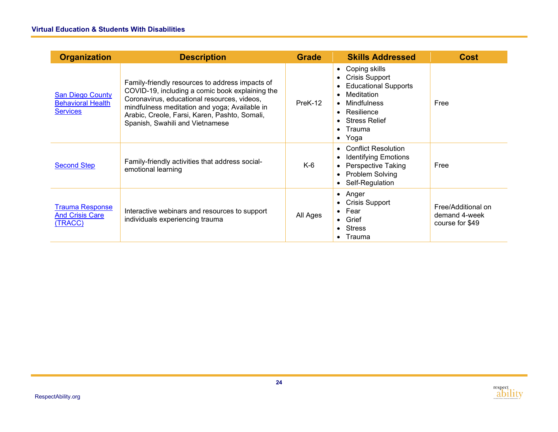| <b>Organization</b>                                                    | <b>Description</b>                                                                                                                                                                                                                                                                     | <b>Grade</b> | <b>Skills Addressed</b>                                                                                                                                                                | <b>Cost</b>                                            |
|------------------------------------------------------------------------|----------------------------------------------------------------------------------------------------------------------------------------------------------------------------------------------------------------------------------------------------------------------------------------|--------------|----------------------------------------------------------------------------------------------------------------------------------------------------------------------------------------|--------------------------------------------------------|
| <b>San Diego County</b><br><b>Behavioral Health</b><br><b>Services</b> | Family-friendly resources to address impacts of<br>COVID-19, including a comic book explaining the<br>Coronavirus, educational resources, videos,<br>mindfulness meditation and yoga; Available in<br>Arabic, Creole, Farsi, Karen, Pashto, Somali,<br>Spanish, Swahili and Vietnamese | PreK-12      | Coping skills<br>$\bullet$<br><b>Crisis Support</b><br><b>Educational Supports</b><br>Meditation<br>Mindfulness<br>Resilience<br><b>Stress Relief</b><br>Trauma<br>$\bullet$<br>• Yoga | Free                                                   |
| <b>Second Step</b>                                                     | Family-friendly activities that address social-<br>emotional learning                                                                                                                                                                                                                  | K-6          | <b>Conflict Resolution</b><br><b>Identifying Emotions</b><br>Perspective Taking<br>Problem Solving<br>Self-Regulation                                                                  | Free                                                   |
| <b>Trauma Response</b><br><b>And Crisis Care</b><br>(TRACC)            | Interactive webinars and resources to support<br>individuals experiencing trauma                                                                                                                                                                                                       | All Ages     | Anger<br>$\bullet$<br><b>Crisis Support</b><br>$\bullet$ Fear<br>Grief<br>• Stress<br>• Trauma                                                                                         | Free/Additional on<br>demand 4-week<br>course for \$49 |

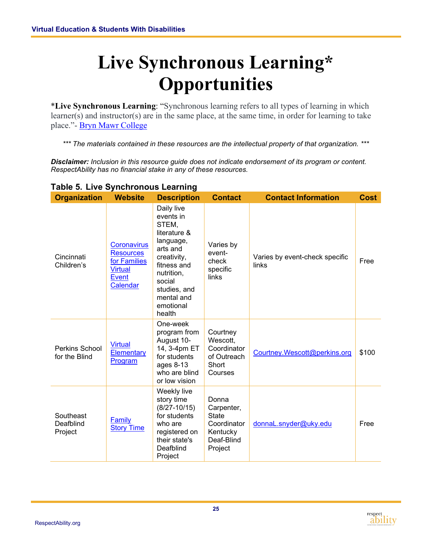## <span id="page-26-0"></span>**Live Synchronous Learning\* Opportunities**

\***Live Synchronous Learning**: "Synchronous learning refers to all types of learning in which learner(s) and instructor(s) are in the same place, at the same time, in order for learning to take place."- [Bryn Mawr College](https://www.brynmawr.edu/blendedlearning/asynchronous-vs-synchronous-learning-quick-overview)

*\*\*\* The materials contained in these resources are the intellectual property of that organization. \*\*\**

*Disclaimer: Inclusion in this resource guide does not indicate endorsement of its program or content. RespectAbility has no financial stake in any of these resources.* 

| <b>Organization</b>                    | <b>Website</b>                                                                                | <b>Description</b>                                                                                                                                                                   | <b>Contact</b>                                                                          | <b>Contact Information</b>              | <b>Cost</b> |
|----------------------------------------|-----------------------------------------------------------------------------------------------|--------------------------------------------------------------------------------------------------------------------------------------------------------------------------------------|-----------------------------------------------------------------------------------------|-----------------------------------------|-------------|
| Cincinnati<br>Children's               | <b>Coronavirus</b><br><b>Resources</b><br>for Families<br><b>Virtual</b><br>Event<br>Calendar | Daily live<br>events in<br>STEM,<br>literature &<br>language,<br>arts and<br>creativity,<br>fitness and<br>nutrition,<br>social<br>studies, and<br>mental and<br>emotional<br>health | Varies by<br>event-<br>check<br>specific<br>links                                       | Varies by event-check specific<br>links | Free        |
| <b>Perkins School</b><br>for the Blind | <b>Virtual</b><br><b>Elementary</b><br>Program                                                | One-week<br>program from<br>August 10-<br>14, 3-4pm ET<br>for students<br>ages $8-13$<br>who are blind<br>or low vision                                                              | Courtney<br>Wescott,<br>Coordinator<br>of Outreach<br>Short<br>Courses                  | Courtney.Wescott@perkins.org            | \$100       |
| Southeast<br>Deafblind<br>Project      | Family<br><b>Story Time</b>                                                                   | Weekly live<br>story time<br>$(8/27 - 10/15)$<br>for students<br>who are<br>registered on<br>their state's<br>Deafblind<br>Project                                                   | Donna<br>Carpenter,<br><b>State</b><br>Coordinator<br>Kentucky<br>Deaf-Blind<br>Project | donnaL.snyder@uky.edu                   | Free        |

#### **Table 5. Live Synchronous Learning**

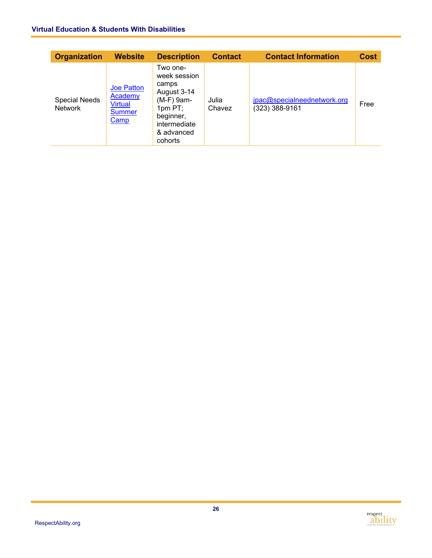#### **Virtual Education & Students With Disabilities**

| <b>Organization</b>                    | <b>Website</b>                                                                 | <b>Description</b>                                                                                                                | <b>Contact</b>  | <b>Contact Information</b>                      | <b>Cost</b> |
|----------------------------------------|--------------------------------------------------------------------------------|-----------------------------------------------------------------------------------------------------------------------------------|-----------------|-------------------------------------------------|-------------|
| <b>Special Needs</b><br><b>Network</b> | <b>Joe Patton</b><br>Academy<br><b>Virtual</b><br><b>Summer</b><br><b>Camp</b> | Two one-<br>week session<br>camps<br>August 3-14<br>(M-F) 9am-<br>$1pm$ PT;<br>beginner,<br>intermediate<br>& advanced<br>cohorts | Julia<br>Chavez | jpac@specialneednetwork.org<br>$(323)$ 388-9161 | Free        |

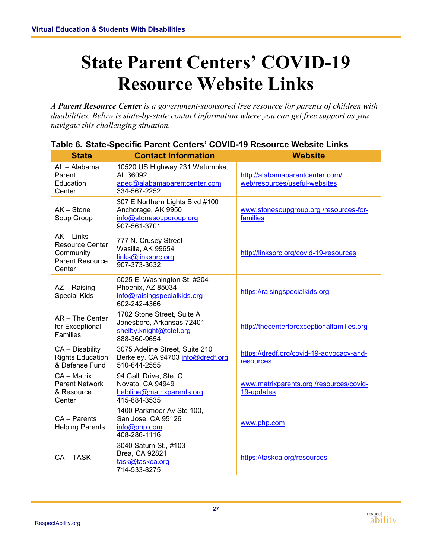### <span id="page-28-0"></span>**State Parent Centers' COVID-19 Resource Website Links**

*A Parent Resource Center is a government-sponsored free resource for parents of children with disabilities. Below is state-by-state contact information where you can get free support as you navigate this challenging situation.*

| <b>State</b>                                                                            | <b>Contact Information</b>                                                                         | <b>Website</b>                                                   |
|-----------------------------------------------------------------------------------------|----------------------------------------------------------------------------------------------------|------------------------------------------------------------------|
| AL - Alabama<br>Parent<br>Education<br>Center                                           | 10520 US Highway 231 Wetumpka,<br>AL 36092<br>apec@alabamaparentcenter.com<br>334-567-2252         | http://alabamaparentcenter.com/<br>web/resources/useful-websites |
| AK - Stone<br>Soup Group                                                                | 307 E Northern Lights Blvd #100<br>Anchorage, AK 9950<br>info@stonesoupgroup.org<br>907-561-3701   | www.stonesoupgroup.org/resources-for-<br>families                |
| $AK$ – Links<br><b>Resource Center</b><br>Community<br><b>Parent Resource</b><br>Center | 777 N. Crusey Street<br>Wasilla, AK 99654<br>links@linksprc.org<br>907-373-3632                    | http://linksprc.org/covid-19-resources                           |
| AZ - Raising<br><b>Special Kids</b>                                                     | 5025 E. Washington St. #204<br>Phoenix, AZ 85034<br>info@raisingspecialkids.org<br>602-242-4366    | https://raisingspecialkids.org                                   |
| AR - The Center<br>for Exceptional<br>Families                                          | 1702 Stone Street, Suite A<br>Jonesboro, Arkansas 72401<br>shelby.knight@tcfef.org<br>888-360-9654 | http://thecenterforexceptionalfamilies.org                       |
| CA - Disability<br><b>Rights Education</b><br>& Defense Fund                            | 3075 Adeline Street, Suite 210<br>Berkeley, CA 94703 info@dredf.org<br>510-644-2555                | https://dredf.org/covid-19-advocacy-and-<br>resources            |
| CA - Matrix<br><b>Parent Network</b><br>& Resource<br>Center                            | 94 Galli Drive, Ste. C.<br>Novato, CA 94949<br>helpline@matrixparents.org<br>415-884-3535          | www.matrixparents.org /resources/covid-<br>19-updates            |
| $CA - Parents$<br><b>Helping Parents</b>                                                | 1400 Parkmoor Av Ste 100,<br>San Jose, CA 95126<br>info@php.com<br>408-286-1116                    | www.php.com                                                      |
| CA-TASK                                                                                 | 3040 Saturn St., #103<br>Brea, CA 92821<br>task@taskca.org<br>714-533-8275                         | https://taskca.org/resources                                     |

#### **Table 6. State-Specific Parent Centers' COVID-19 Resource Website Links**

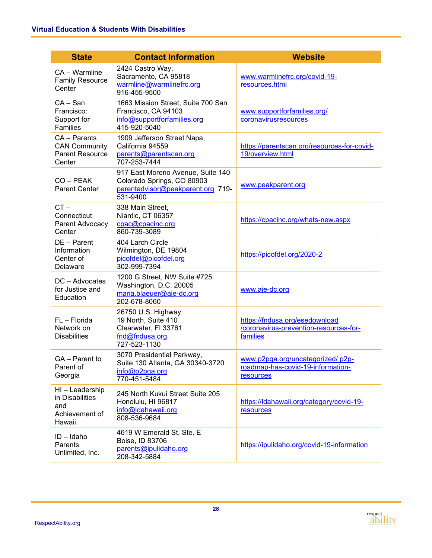| <b>State</b>                                                             | <b>Contact Information</b>                                                                                       | <b>Website</b>                                                                       |
|--------------------------------------------------------------------------|------------------------------------------------------------------------------------------------------------------|--------------------------------------------------------------------------------------|
| CA - Warmline<br><b>Family Resource</b><br>Center                        | 2424 Castro Way,<br>Sacramento, CA 95818<br>warmline@warmlinefrc.org<br>916-455-9500                             | www.warmlinefrc.org/covid-19-<br>resources.html                                      |
| $CA - San$<br>Francisco:<br>Support for<br><b>Families</b>               | 1663 Mission Street, Suite 700 San<br>Francisco, CA 94103<br>info@supportforfamilies.org<br>415-920-5040         | www.supportforfamilies.org/<br>coronavirusresources                                  |
| CA - Parents<br><b>CAN Community</b><br><b>Parent Resource</b><br>Center | 1909 Jefferson Street Napa,<br>California 94559<br>parents@parentscan.org<br>707-253-7444                        | https://parentscan.org/resources-for-covid-<br>19/overview.html                      |
| CO - PEAK<br><b>Parent Center</b>                                        | 917 East Moreno Avenue, Suite 140<br>Colorado Springs, CO 80903<br>parentadvisor@peakparent.org 719-<br>531-9400 | www.peakparent.org                                                                   |
| $CT -$<br>Connecticut<br>Parent Advocacy<br>Center                       | 338 Main Street,<br>Niantic, CT 06357<br>cpac@cpacinc.org<br>860-739-3089                                        | https://cpacinc.org/whats-new.aspx                                                   |
| DE - Parent<br>Information<br>Center of<br>Delaware                      | 404 Larch Circle<br>Wilmington, DE 19804<br>picofdel@picofdel.org<br>302-999-7394                                | https://picofdel.org/2020-2                                                          |
| DC - Advocates<br>for Justice and<br>Education                           | 1200 G Street, NW Suite #725<br>Washington, D.C. 20005<br>maria.blaeuer@aje-dc.org<br>202-678-8060               | www.aje-dc.org                                                                       |
| FL - Florida<br>Network on<br><b>Disabilities</b>                        | 26750 U.S. Highway<br>19 North, Suite 410<br>Clearwater, FI 33761<br>fnd@fndusa.org<br>727-523-1130              | https://fndusa.org/esedownload<br>/coronavirus-prevention-resources-for-<br>families |
| GA - Parent to<br>Parent of<br>Georgia                                   | 3070 Presidential Parkway,<br>Suite 130 Atlanta, GA 30340-3720<br>info@p2pga.org<br>770-451-5484                 | www.p2pga.org/uncategorized/p2p-<br>roadmap-has-covid-19-information-<br>resources   |
| HI - Leadership<br>in Disabilities<br>and<br>Achievement of<br>Hawaii    | 245 North Kukui Street Suite 205<br>Honolulu, HI 96817<br>info@ldahawaii.org<br>808-536-9684                     | https://ldahawaii.org/category/covid-19-<br>resources                                |
| $ID - Idaho$<br>Parents<br>Unlimited, Inc.                               | 4619 W Emerald St, Ste. E<br>Boise, ID 83706<br>parents@ipulidaho.org<br>208-342-5884                            | https://ipulidaho.org/covid-19-information                                           |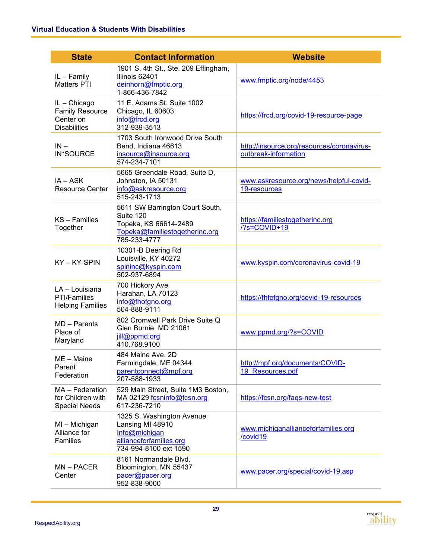| <b>State</b>                                                               | <b>Contact Information</b>                                                                                              | <b>Website</b>                                                     |
|----------------------------------------------------------------------------|-------------------------------------------------------------------------------------------------------------------------|--------------------------------------------------------------------|
| IL-Family<br><b>Matters PTI</b>                                            | 1901 S. 4th St., Ste. 209 Effingham,<br>Illinois 62401<br>deinhorn@fmptic.org<br>1-866-436-7842                         | www.fmptic.org/node/4453                                           |
| IL - Chicago<br><b>Family Resource</b><br>Center on<br><b>Disabilities</b> | 11 E. Adams St. Suite 1002<br>Chicago, IL 60603<br>info@frcd.org<br>312-939-3513                                        | https://frcd.org/covid-19-resource-page                            |
| $IN -$<br>IN*SOURCE                                                        | 1703 South Ironwood Drive South<br>Bend, Indiana 46613<br>insource@insource.org<br>574-234-7101                         | http://insource.org/resources/coronavirus-<br>outbreak-information |
| IA – ASK<br><b>Resource Center</b>                                         | 5665 Greendale Road, Suite D,<br>Johnston, IA 50131<br>info@askresource.org<br>515-243-1713                             | www.askresource.org/news/helpful-covid-<br>19-resources            |
| $KS - Families$<br>Together                                                | 5611 SW Barrington Court South,<br>Suite 120<br>Topeka, KS 66614-2489<br>Topeka@familiestogetherinc.org<br>785-233-4777 | https://familiestogetherinc.org<br>/?s=COVID+19                    |
| KY-KY-SPIN                                                                 | 10301-B Deering Rd<br>Louisville, KY 40272<br>spininc@kyspin.com<br>502-937-6894                                        | www.kyspin.com/coronavirus-covid-19                                |
| LA - Louisiana<br>PTI/Families<br><b>Helping Families</b>                  | 700 Hickory Ave<br>Harahan, LA 70123<br>info@fhofgno.org<br>504-888-9111                                                | https://fhfofgno.org/covid-19-resources                            |
| $MD - Parents$<br>Place of<br>Maryland                                     | 802 Cromwell Park Drive Suite Q<br>Glen Burnie, MD 21061<br>jill@ppmd.org<br>410.768.9100                               | www.ppmd.org/?s=COVID                                              |
| ME - Maine<br>Parent<br>Federation                                         | 484 Maine Ave. 2D<br>Farmingdale, ME 04344<br>parentconnect@mpf.org<br>207-588-1933                                     | http://mpf.org/documents/COVID-<br>19 Resources.pdf                |
| MA - Federation<br>for Children with<br><b>Special Needs</b>               | 529 Main Street, Suite 1M3 Boston,<br>MA 02129 fcsninfo@fcsn.org<br>617-236-7210                                        | https://fcsn.org/faqs-new-test                                     |
| MI - Michigan<br>Alliance for<br>Families                                  | 1325 S. Washington Avenue<br>Lansing MI 48910<br>Info@michigan<br>allianceforfamilies.org<br>734-994-8100 ext 1590      | www.michiganallianceforfamilies.org<br>/covid19                    |
| $MN - PACER$<br>Center                                                     | 8161 Normandale Blvd.<br>Bloomington, MN 55437<br>pacer@pacer.org<br>952-838-9000                                       | www.pacer.org/special/covid-19.asp                                 |

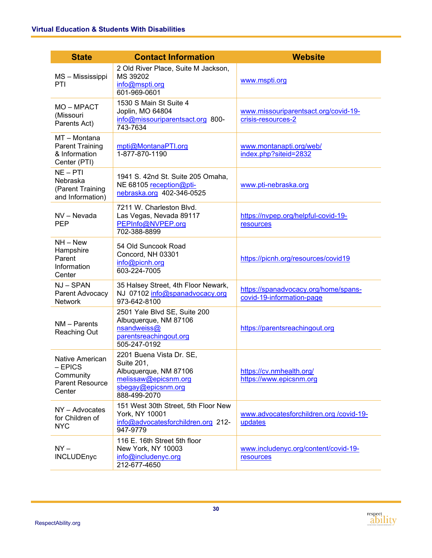| <b>State</b>                                                                  | <b>Contact Information</b>                                                                                                    | <b>Website</b>                                                    |
|-------------------------------------------------------------------------------|-------------------------------------------------------------------------------------------------------------------------------|-------------------------------------------------------------------|
| MS - Mississippi<br>PTI                                                       | 2 Old River Place, Suite M Jackson,<br>MS 39202<br>info@mspti.org<br>601-969-0601                                             | www.mspti.org                                                     |
| MO-MPACT<br>(Missouri<br>Parents Act)                                         | 1530 S Main St Suite 4<br>Joplin, MO 64804<br>info@missouriparentsact.org 800-<br>743-7634                                    | www.missouriparentsact.org/covid-19-<br>crisis-resources-2        |
| MT - Montana<br><b>Parent Training</b><br>& Information<br>Center (PTI)       | mpti@MontanaPTI.org<br>1-877-870-1190                                                                                         | www.montanapti.org/web/<br>index.php?siteid=2832                  |
| $NE - PT$<br>Nebraska<br>(Parent Training<br>and Information)                 | 1941 S. 42nd St. Suite 205 Omaha,<br>NE 68105 reception@pti-<br>nebraska.org 402-346-0525                                     | www.pti-nebraska.org                                              |
| NV - Nevada<br><b>PEP</b>                                                     | 7211 W. Charleston Blvd.<br>Las Vegas, Nevada 89117<br>PEPInfo@NVPEP.org<br>702-388-8899                                      | https://nvpep.org/helpful-covid-19-<br>resources                  |
| $NH - New$<br>Hampshire<br>Parent<br>Information<br>Center                    | 54 Old Suncook Road<br>Concord, NH 03301<br>info@picnh.org<br>603-224-7005                                                    | https://picnh.org/resources/covid19                               |
| NJ-SPAN<br>Parent Advocacy<br><b>Network</b>                                  | 35 Halsey Street, 4th Floor Newark,<br>NJ 07102 info@spanadvocacy.org<br>973-642-8100                                         | https://spanadvocacy.org/home/spans-<br>covid-19-information-page |
| NM - Parents<br><b>Reaching Out</b>                                           | 2501 Yale Blvd SE, Suite 200<br>Albuquerque, NM 87106<br>nsandweiss@<br>parentsreachingout.org<br>505-247-0192                | https://parentsreachingout.org                                    |
| Native American<br>$-$ EPICS<br>Community<br><b>Parent Resource</b><br>Center | 2201 Buena Vista Dr. SE,<br>Suite 201,<br>Albuquerque, NM 87106<br>melissaw@epicsnm.org<br>sbegay@epicsnm.org<br>888-499-2070 | https://cv.nmhealth.org/<br>https://www.epicsnm.org               |
| NY - Advocates<br>for Children of<br><b>NYC</b>                               | 151 West 30th Street, 5th Floor New<br>York, NY 10001<br>info@advocatesforchildren.org 212-<br>947-9779                       | www.advocatesforchildren.org /covid-19-<br>updates                |
| $NY -$<br><b>INCLUDEnyc</b>                                                   | 116 E. 16th Street 5th floor<br>New York, NY 10003<br>info@includenyc.org<br>212-677-4650                                     | www.includenyc.org/content/covid-19-<br>resources                 |

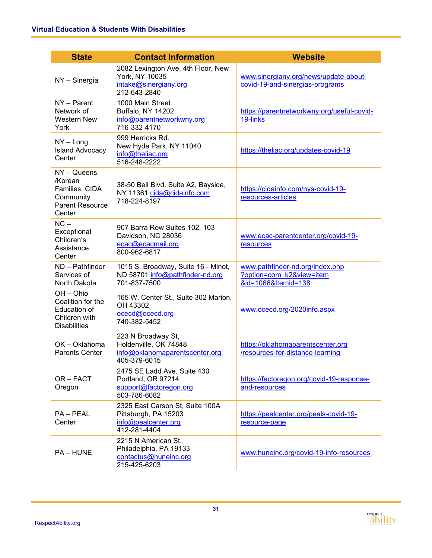| <b>State</b>                                                                                | <b>Contact Information</b>                                                                     | <b>Website</b>                                                                     |
|---------------------------------------------------------------------------------------------|------------------------------------------------------------------------------------------------|------------------------------------------------------------------------------------|
| NY - Sinergia                                                                               | 2082 Lexington Ave, 4th Floor, New<br>York, NY 10035<br>intake@sinergiany.org<br>212-643-2840  | www.sinergiany.org/news/update-about-<br>covid-19-and-sinergias-programs           |
| NY - Parent<br>Network of<br><b>Western New</b><br>York                                     | 1000 Main Street<br>Buffalo, NY 14202<br>info@parentnetworkwny.org<br>716-332-4170             | https://parentnetworkwny.org/useful-covid-<br>19-links                             |
| $NY - Long$<br><b>Island Advocacy</b><br>Center                                             | 999 Herricks Rd.<br>New Hyde Park, NY 11040<br>info@theliac.org<br>516-248-2222                | https://theliac.org/updates-covid-19                                               |
| $NY - Queens$<br>/Korean<br>Families: CIDA<br>Community<br><b>Parent Resource</b><br>Center | 38-50 Bell Blvd. Suite A2, Bayside,<br>NY 11361 cida@cidainfo.com<br>718-224-8197              | https://cidainfo.com/nys-covid-19-<br>resources-articles                           |
| $NC -$<br>Exceptional<br>Children's<br>Assistance<br>Center                                 | 907 Barra Row Suites 102, 103<br>Davidson, NC 28036<br>ecac@ecacmail.org<br>800-962-6817       | www.ecac-parentcenter.org/covid-19-<br>resources                                   |
| ND - Pathfinder<br>Services of<br>North Dakota                                              | 1015 S. Broadway, Suite 16 - Minot,<br>ND 58701 info@pathfinder-nd.org<br>701-837-7500         | www.pathfinder-nd.org/index.php<br>?option=com k2&view=item<br>&id=1066&Itemid=138 |
| OH - Ohio<br>Coalition for the<br>Education of<br>Children with<br><b>Disabilities</b>      | 165 W. Center St., Suite 302 Marion,<br>OH 43302<br>ocecd@ocecd.org<br>740-382-5452            | www.ocecd.org/2020info.aspx                                                        |
| OK - Oklahoma<br><b>Parents Center</b>                                                      | 223 N Broadway St,<br>Holdenville, OK 74848<br>info@oklahomaparentscenter.org<br>405-379-6015  | https://oklahomaparentscenter.org<br>/resources-for-distance-learning              |
| OR-FACT<br>Oregon                                                                           | 2475 SE Ladd Ave. Suite 430<br>Portland, OR 97214<br>support@factoregon.org<br>503-786-6082    | https://factoregon.org/covid-19-response-<br>and-resources                         |
| PA - PEAL<br>Center                                                                         | 2325 East Carson St, Suite 100A<br>Pittsburgh, PA 15203<br>info@pealcenter.org<br>412-281-4404 | https://pealcenter.org/peals-covid-19-<br>resource-page                            |
| <b>PA-HUNE</b>                                                                              | 2215 N American St.<br>Philadelphia, PA 19133<br>contactus@huneinc.org<br>215-425-6203         | www.huneinc.org/covid-19-info-resources                                            |

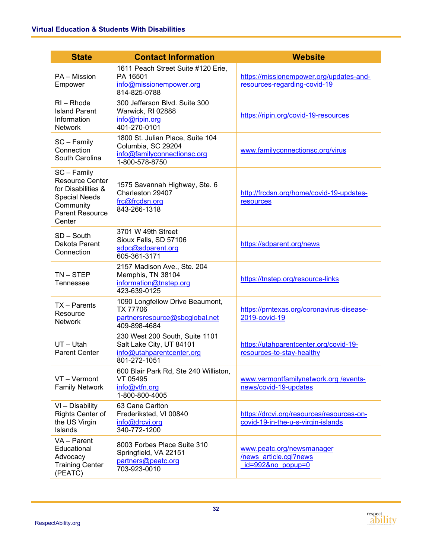| <b>State</b>                                                                                                                         | <b>Contact Information</b>                                                                              | <b>Website</b>                                                                  |
|--------------------------------------------------------------------------------------------------------------------------------------|---------------------------------------------------------------------------------------------------------|---------------------------------------------------------------------------------|
| PA - Mission<br>Empower                                                                                                              | 1611 Peach Street Suite #120 Erie,<br>PA 16501<br>info@missionempower.org<br>814-825-0788               | https://missionempower.org/updates-and-<br>resources-regarding-covid-19         |
| $RI - Rhode$<br><b>Island Parent</b><br>Information<br><b>Network</b>                                                                | 300 Jefferson Blvd. Suite 300<br>Warwick, RI 02888<br>info@ripin.org<br>401-270-0101                    | https://ripin.org/covid-19-resources                                            |
| SC - Family<br>Connection<br>South Carolina                                                                                          | 1800 St. Julian Place, Suite 104<br>Columbia, SC 29204<br>info@familyconnectionsc.org<br>1-800-578-8750 | www.familyconnectionsc.org/virus                                                |
| SC - Family<br><b>Resource Center</b><br>for Disabilities &<br><b>Special Needs</b><br>Community<br><b>Parent Resource</b><br>Center | 1575 Savannah Highway, Ste. 6<br>Charleston 29407<br>frc@frcdsn.org<br>843-266-1318                     | http://frcdsn.org/home/covid-19-updates-<br>resources                           |
| SD - South<br>Dakota Parent<br>Connection                                                                                            | 3701 W 49th Street<br>Sioux Falls, SD 57106<br>sdpc@sdparent.org<br>605-361-3171                        | https://sdparent.org/news                                                       |
| $TN - STEP$<br><b>Tennessee</b>                                                                                                      | 2157 Madison Ave., Ste. 204<br>Memphis, TN 38104<br>information@tnstep.org<br>423-639-0125              | https://tnstep.org/resource-links                                               |
| TX - Parents<br>Resource<br><b>Network</b>                                                                                           | 1090 Longfellow Drive Beaumont,<br><b>TX 77706</b><br>partnersresource@sbcglobal.net<br>409-898-4684    | https://prntexas.org/coronavirus-disease-<br>2019-covid-19                      |
| $UT - Utah$<br><b>Parent Center</b>                                                                                                  | 230 West 200 South, Suite 1101<br>Salt Lake City, UT 84101<br>info@utahparentcenter.org<br>801-272-1051 | https://utahparentcenter.org/covid-19-<br>resources-to-stay-healthy             |
| VT - Vermont<br><b>Family Network</b>                                                                                                | 600 Blair Park Rd, Ste 240 Williston,<br>VT 05495<br>info@vtfn.org<br>1-800-800-4005                    | www.vermontfamilynetwork.org /events-<br>news/covid-19-updates                  |
| VI - Disability<br><b>Rights Center of</b><br>the US Virgin<br>Islands                                                               | 63 Cane Carlton<br>Frederiksted, VI 00840<br>info@drcvi.org<br>340-772-1200                             | https://drcvi.org/resources/resources-on-<br>covid-19-in-the-u-s-virgin-islands |
| VA - Parent<br>Educational<br>Advocacy<br><b>Training Center</b><br>(PEATC)                                                          | 8003 Forbes Place Suite 310<br>Springfield, VA 22151<br>partners@peatc.org<br>703-923-0010              | www.peatc.org/newsmanager<br>/news article.cgi?news<br>id=992&no popup=0        |

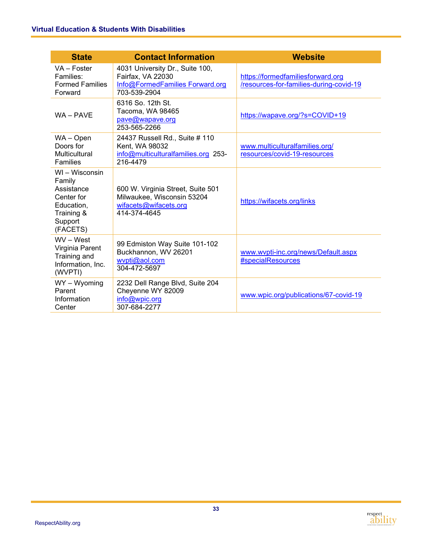| <b>State</b>                                                                                            | <b>Contact Information</b>                                                                               | <b>Website</b>                                                               |
|---------------------------------------------------------------------------------------------------------|----------------------------------------------------------------------------------------------------------|------------------------------------------------------------------------------|
| VA - Foster<br>Families:<br><b>Formed Families</b><br>Forward                                           | 4031 University Dr., Suite 100,<br>Fairfax, VA 22030<br>Info@FormedFamilies Forward.org<br>703-539-2904  | https://formedfamiliesforward.org<br>/resources-for-families-during-covid-19 |
| WA - PAVE                                                                                               | 6316 So. 12th St.<br>Tacoma, WA 98465<br>pave@wapave.org<br>253-565-2266                                 | https://wapave.org/?s=COVID+19                                               |
| WA – Open<br>Doors for<br><b>Multicultural</b><br>Families                                              | 24437 Russell Rd., Suite # 110<br>Kent, WA 98032<br>info@multiculturalfamilies.org 253-<br>216-4479      | www.multiculturalfamilies.org/<br>resources/covid-19-resources               |
| WI - Wisconsin<br>Family<br>Assistance<br>Center for<br>Education,<br>Training &<br>Support<br>(FACETS) | 600 W. Virginia Street, Suite 501<br>Milwaukee, Wisconsin 53204<br>wifacets@wifacets.org<br>414-374-4645 | https://wifacets.org/links                                                   |
| WV - West<br>Virginia Parent<br>Training and<br>Information, Inc.<br>(WVPTI)                            | 99 Edmiston Way Suite 101-102<br>Buckhannon, WV 26201<br>wvpti@aol.com<br>304-472-5697                   | www.wvpti-inc.org/news/Default.aspx<br>#specialResources                     |
| WY - Wyoming<br>Parent<br>Information<br>Center                                                         | 2232 Dell Range Blvd, Suite 204<br>Cheyenne WY 82009<br>info@wpic.org<br>307-684-2277                    | www.wpic.org/publications/67-covid-19                                        |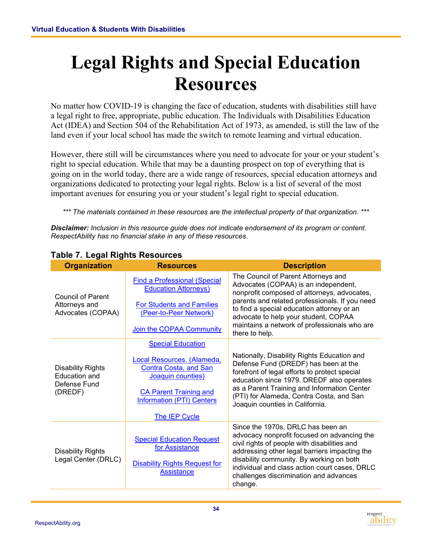### <span id="page-35-0"></span>**Legal Rights and Special Education Resources**

No matter how COVID-19 is changing the face of education, students with disabilities still have a legal right to free, appropriate, public education. The Individuals with Disabilities Education Act (IDEA) and Section 504 of the Rehabilitation Act of 1973, as amended, is still the law of the land even if your local school has made the switch to remote learning and virtual education.

However, there still will be circumstances where you need to advocate for your or your student's right to special education. While that may be a daunting prospect on top of everything that is going on in the world today, there are a wide range of resources, special education attorneys and organizations dedicated to protecting your legal rights. Below is a list of several of the most important avenues for ensuring you or your student's legal right to special education.

*\*\*\* The materials contained in these resources are the intellectual property of that organization. \*\*\**

*Disclaimer: Inclusion in this resource guide does not indicate endorsement of its program or content. RespectAbility has no financial stake in any of these resources.* 

| <b>Organization</b>                                                         | <b>Resources</b>                                                                                                                              | <b>Description</b>                                                                                                                                                                                                                                                                                                                  |
|-----------------------------------------------------------------------------|-----------------------------------------------------------------------------------------------------------------------------------------------|-------------------------------------------------------------------------------------------------------------------------------------------------------------------------------------------------------------------------------------------------------------------------------------------------------------------------------------|
| <b>Council of Parent</b>                                                    | <b>Find a Professional (Special</b><br><b>Education Attorneys)</b>                                                                            | The Council of Parent Attorneys and<br>Advocates (COPAA) is an independent,<br>nonprofit composed of attorneys, advocates,                                                                                                                                                                                                          |
| Attorneys and<br>Advocates (COPAA)                                          | <b>For Students and Families</b><br>(Peer-to-Peer Network)                                                                                    | parents and related professionals. If you need<br>to find a special education attorney or an<br>advocate to help your student, COPAA                                                                                                                                                                                                |
|                                                                             | Join the COPAA Community                                                                                                                      | maintains a network of professionals who are<br>there to help.                                                                                                                                                                                                                                                                      |
|                                                                             | <b>Special Education</b>                                                                                                                      |                                                                                                                                                                                                                                                                                                                                     |
| <b>Disability Rights</b><br><b>Education and</b><br>Defense Fund<br>(DREDF) | Local Resources. (Alameda,<br>Contra Costa, and San<br>Joaquin counties)<br><b>CA Parent Training and</b><br><b>Information (PTI) Centers</b> | Nationally, Disability Rights Education and<br>Defense Fund (DREDF) has been at the<br>forefront of legal efforts to protect special<br>education since 1979. DREDF also operates<br>as a Parent Training and Information Center<br>(PTI) for Alameda, Contra Costa, and San<br>Joaquin counties in California.                     |
|                                                                             | The IEP Cycle                                                                                                                                 |                                                                                                                                                                                                                                                                                                                                     |
| <b>Disability Rights</b><br>Legal Center (DRLC)                             | <b>Special Education Request</b><br>for Assistance<br><b>Disability Rights Request for</b><br><b>Assistance</b>                               | Since the 1970s, DRLC has been an<br>advocacy nonprofit focused on advancing the<br>civil rights of people with disabilities and<br>addressing other legal barriers impacting the<br>disability community. By working on both<br>individual and class action court cases, DRLC<br>challenges discrimination and advances<br>change. |

#### **Table 7. Legal Rights Resources**